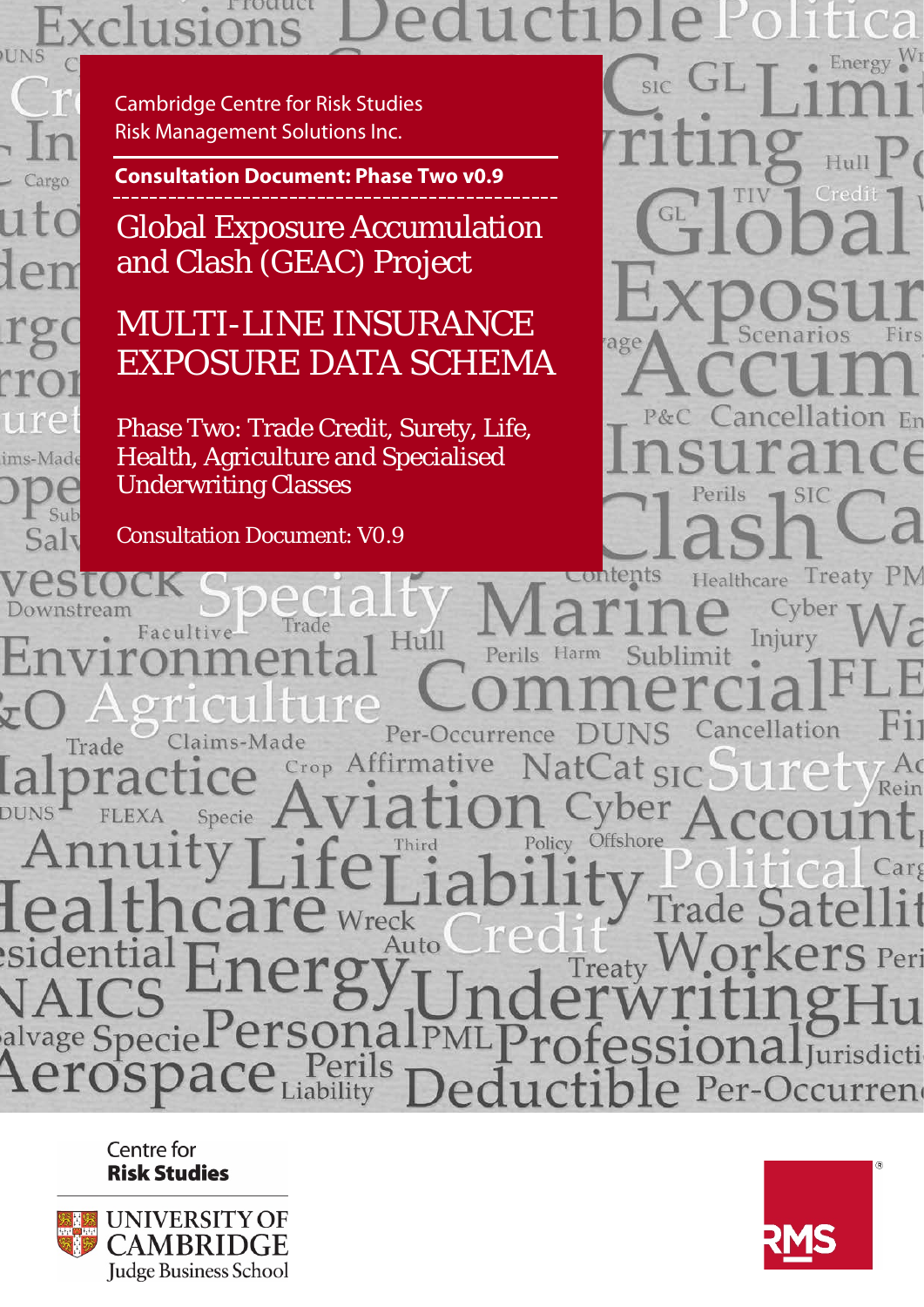#### rrouuet ons **UNS** Energy  $W_1$

Cargo ims-Made Sub Saly

Cambridge Centre for Risk Studies Risk Management Solutions Inc.

**Consultation Document: Phase Two v0.9**

Global Exposure Accumulation and Clash (GEAC) Project

# MULTI-LINE INSURANCE EXPOSURE DATA SCHEMA

Phase Two: Trade Credit, Surety, Life, Health, Agriculture and Specialised Underwriting Classes

Consultation Document: V0.9

age En Treaty PN ontents

Cyber Frade Facultive Injury Perils Harm ublimit Cancellation Per-Occurrence Claims-Made Trade Crop Affirmative at Rein **DUNS** Specie Offshore Policy Third larg Wreck Auto S Peri Treaty llPM alvage Specie **Mal** Jurisdicti Per-Occurren iability

> Centre for **Risk Studies**



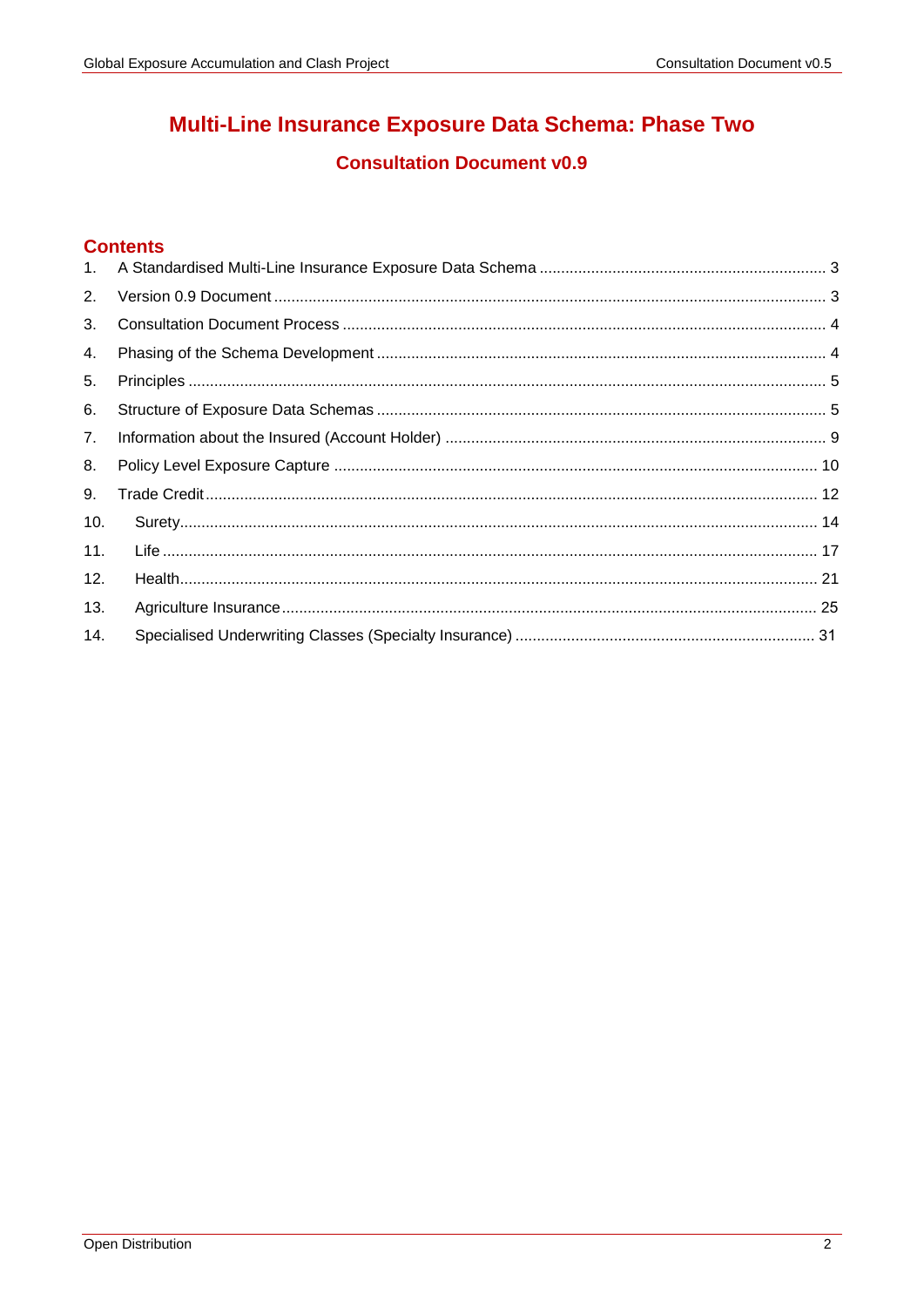# Multi-Line Insurance Exposure Data Schema: Phase Two

# **Consultation Document v0.9**

## **Contents**

| 2.  |  |
|-----|--|
| 3.  |  |
| 4.  |  |
| 5.  |  |
| 6.  |  |
| 7.  |  |
| 8.  |  |
| 9.  |  |
| 10. |  |
| 11. |  |
| 12. |  |
| 13. |  |
| 14. |  |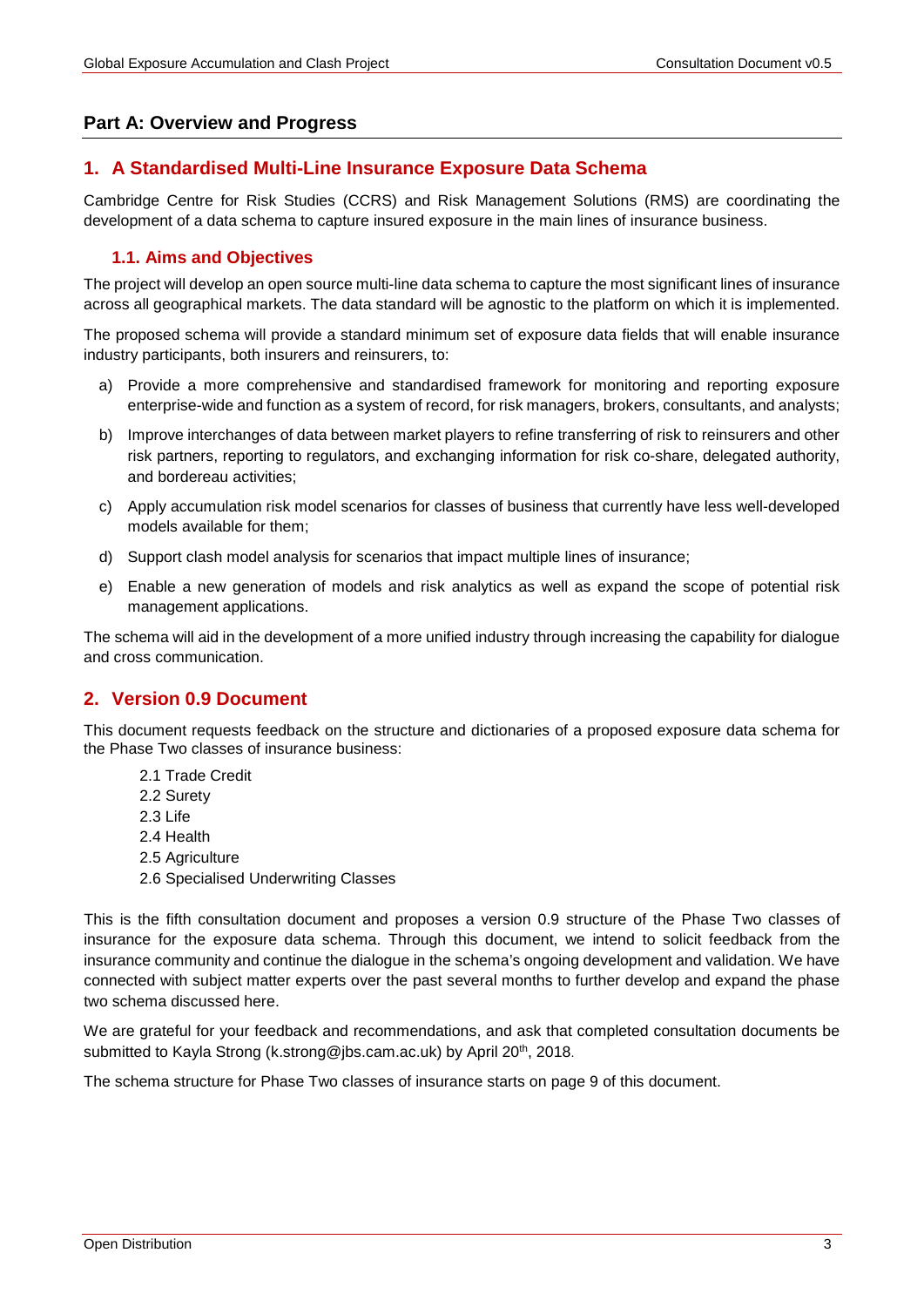## **Part A: Overview and Progress**

## <span id="page-2-0"></span>**1. A Standardised Multi-Line Insurance Exposure Data Schema**

Cambridge Centre for Risk Studies (CCRS) and Risk Management Solutions (RMS) are coordinating the development of a data schema to capture insured exposure in the main lines of insurance business.

## **1.1. Aims and Objectives**

The project will develop an open source multi-line data schema to capture the most significant lines of insurance across all geographical markets. The data standard will be agnostic to the platform on which it is implemented.

The proposed schema will provide a standard minimum set of exposure data fields that will enable insurance industry participants, both insurers and reinsurers, to:

- a) Provide a more comprehensive and standardised framework for monitoring and reporting exposure enterprise-wide and function as a system of record, for risk managers, brokers, consultants, and analysts;
- b) Improve interchanges of data between market players to refine transferring of risk to reinsurers and other risk partners, reporting to regulators, and exchanging information for risk co-share, delegated authority, and bordereau activities;
- c) Apply accumulation risk model scenarios for classes of business that currently have less well-developed models available for them;
- d) Support clash model analysis for scenarios that impact multiple lines of insurance;
- e) Enable a new generation of models and risk analytics as well as expand the scope of potential risk management applications.

The schema will aid in the development of a more unified industry through increasing the capability for dialogue and cross communication.

## <span id="page-2-1"></span>**2. Version 0.9 Document**

This document requests feedback on the structure and dictionaries of a proposed exposure data schema for the Phase Two classes of insurance business:

- 2.1 Trade Credit
- 2.2 Surety
- 2.3 Life
- 2.4 Health
- 2.5 Agriculture
- 2.6 Specialised Underwriting Classes

This is the fifth consultation document and proposes a version 0.9 structure of the Phase Two classes of insurance for the exposure data schema. Through this document, we intend to solicit feedback from the insurance community and continue the dialogue in the schema's ongoing development and validation. We have connected with subject matter experts over the past several months to further develop and expand the phase two schema discussed here.

We are grateful for your feedback and recommendations, and ask that completed consultation documents be submitted to Kayla Strong (k.strong@jbs.cam.ac.uk) by April 20<sup>th</sup>, 2018.

The schema structure for Phase Two classes of insurance starts on page [9](#page-8-1) of this document.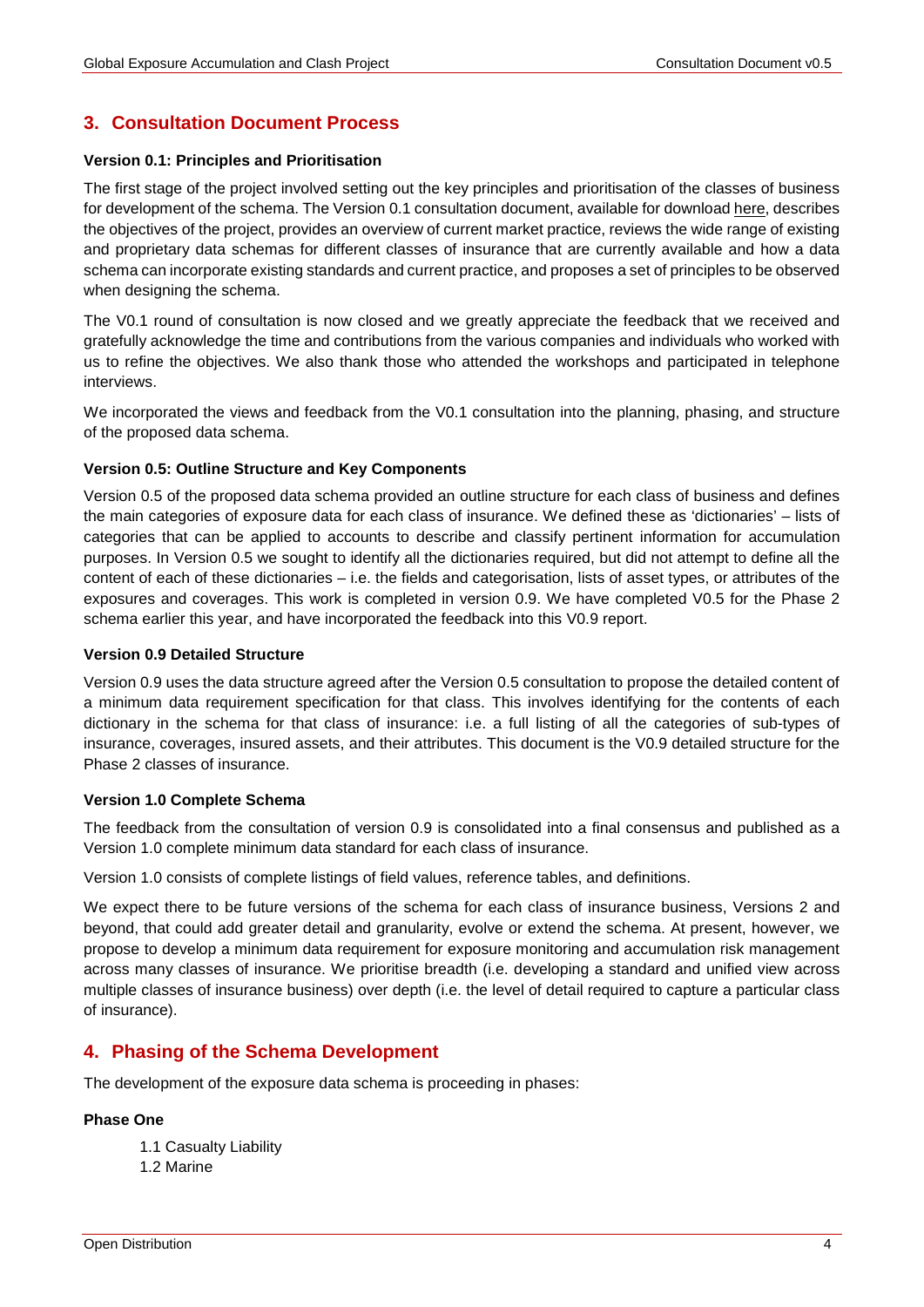# <span id="page-3-0"></span>**3. Consultation Document Process**

#### **Version 0.1: Principles and Prioritisation**

The first stage of the project involved setting out the key principles and prioritisation of the classes of business for development of the schema. The Version 0.1 consultation document, available for download [here,](http://cambridgeriskframework.com/getdocument/69) describes the objectives of the project, provides an overview of current market practice, reviews the wide range of existing and proprietary data schemas for different classes of insurance that are currently available and how a data schema can incorporate existing standards and current practice, and proposes a set of principles to be observed when designing the schema.

The V0.1 round of consultation is now closed and we greatly appreciate the feedback that we received and gratefully acknowledge the time and contributions from the various companies and individuals who worked with us to refine the objectives. We also thank those who attended the workshops and participated in telephone interviews.

We incorporated the views and feedback from the V0.1 consultation into the planning, phasing, and structure of the proposed data schema.

#### **Version 0.5: Outline Structure and Key Components**

Version 0.5 of the proposed data schema provided an outline structure for each class of business and defines the main categories of exposure data for each class of insurance. We defined these as 'dictionaries' – lists of categories that can be applied to accounts to describe and classify pertinent information for accumulation purposes. In Version 0.5 we sought to identify all the dictionaries required, but did not attempt to define all the content of each of these dictionaries – i.e. the fields and categorisation, lists of asset types, or attributes of the exposures and coverages. This work is completed in version 0.9. We have completed V0.5 for the Phase 2 schema earlier this year, and have incorporated the feedback into this V0.9 report.

#### **Version 0.9 Detailed Structure**

Version 0.9 uses the data structure agreed after the Version 0.5 consultation to propose the detailed content of a minimum data requirement specification for that class. This involves identifying for the contents of each dictionary in the schema for that class of insurance: i.e. a full listing of all the categories of sub-types of insurance, coverages, insured assets, and their attributes. This document is the V0.9 detailed structure for the Phase 2 classes of insurance.

#### **Version 1.0 Complete Schema**

The feedback from the consultation of version 0.9 is consolidated into a final consensus and published as a Version 1.0 complete minimum data standard for each class of insurance.

Version 1.0 consists of complete listings of field values, reference tables, and definitions.

We expect there to be future versions of the schema for each class of insurance business, Versions 2 and beyond, that could add greater detail and granularity, evolve or extend the schema. At present, however, we propose to develop a minimum data requirement for exposure monitoring and accumulation risk management across many classes of insurance. We prioritise breadth (i.e. developing a standard and unified view across multiple classes of insurance business) over depth (i.e. the level of detail required to capture a particular class of insurance).

## <span id="page-3-1"></span>**4. Phasing of the Schema Development**

The development of the exposure data schema is proceeding in phases:

#### **Phase One**

- 1.1 Casualty Liability
- 1.2 Marine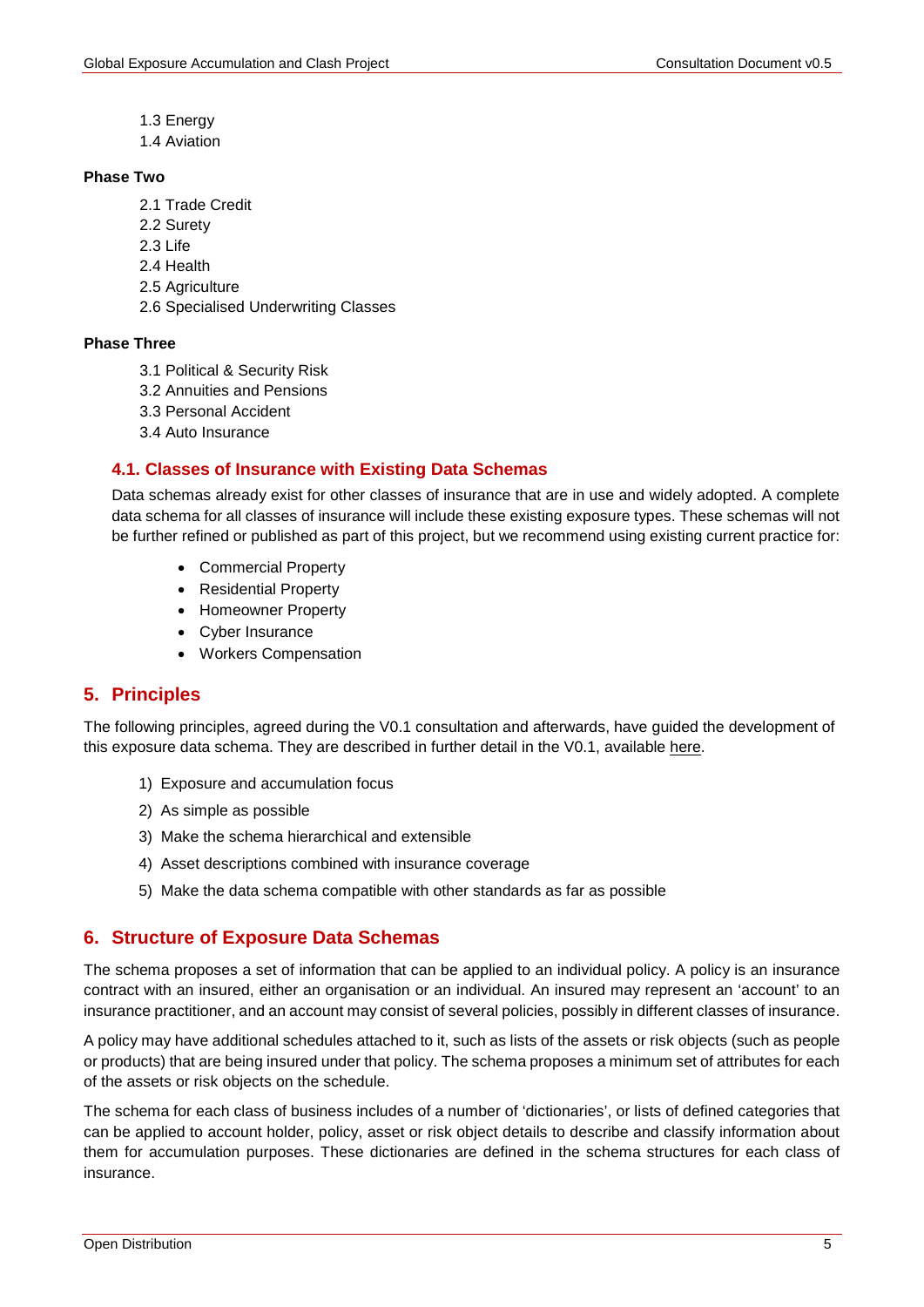- 1.3 Energy
- 1.4 Aviation

#### **Phase Two**

- 2.1 Trade Credit
- 2.2 Surety
- 2.3 Life
- 2.4 Health
- 2.5 Agriculture
- 2.6 Specialised Underwriting Classes

#### **Phase Three**

- 3.1 Political & Security Risk
- 3.2 Annuities and Pensions
- 3.3 Personal Accident
- 3.4 Auto Insurance

## **4.1. Classes of Insurance with Existing Data Schemas**

Data schemas already exist for other classes of insurance that are in use and widely adopted. A complete data schema for all classes of insurance will include these existing exposure types. These schemas will not be further refined or published as part of this project, but we recommend using existing current practice for:

- Commercial Property
- Residential Property
- Homeowner Property
- Cyber Insurance
- Workers Compensation

## <span id="page-4-0"></span>**5. Principles**

The following principles, agreed during the V0.1 consultation and afterwards, have guided the development of this exposure data schema. They are described in further detail in the V0.1, available [here.](http://cambridgeriskframework.com/getdocument/69)

- 1) Exposure and accumulation focus
- 2) As simple as possible
- 3) Make the schema hierarchical and extensible
- 4) Asset descriptions combined with insurance coverage
- 5) Make the data schema compatible with other standards as far as possible

## <span id="page-4-1"></span>**6. Structure of Exposure Data Schemas**

The schema proposes a set of information that can be applied to an individual policy. A policy is an insurance contract with an insured, either an organisation or an individual. An insured may represent an 'account' to an insurance practitioner, and an account may consist of several policies, possibly in different classes of insurance.

A policy may have additional schedules attached to it, such as lists of the assets or risk objects (such as people or products) that are being insured under that policy. The schema proposes a minimum set of attributes for each of the assets or risk objects on the schedule.

The schema for each class of business includes of a number of 'dictionaries', or lists of defined categories that can be applied to account holder, policy, asset or risk object details to describe and classify information about them for accumulation purposes. These dictionaries are defined in the schema structures for each class of insurance.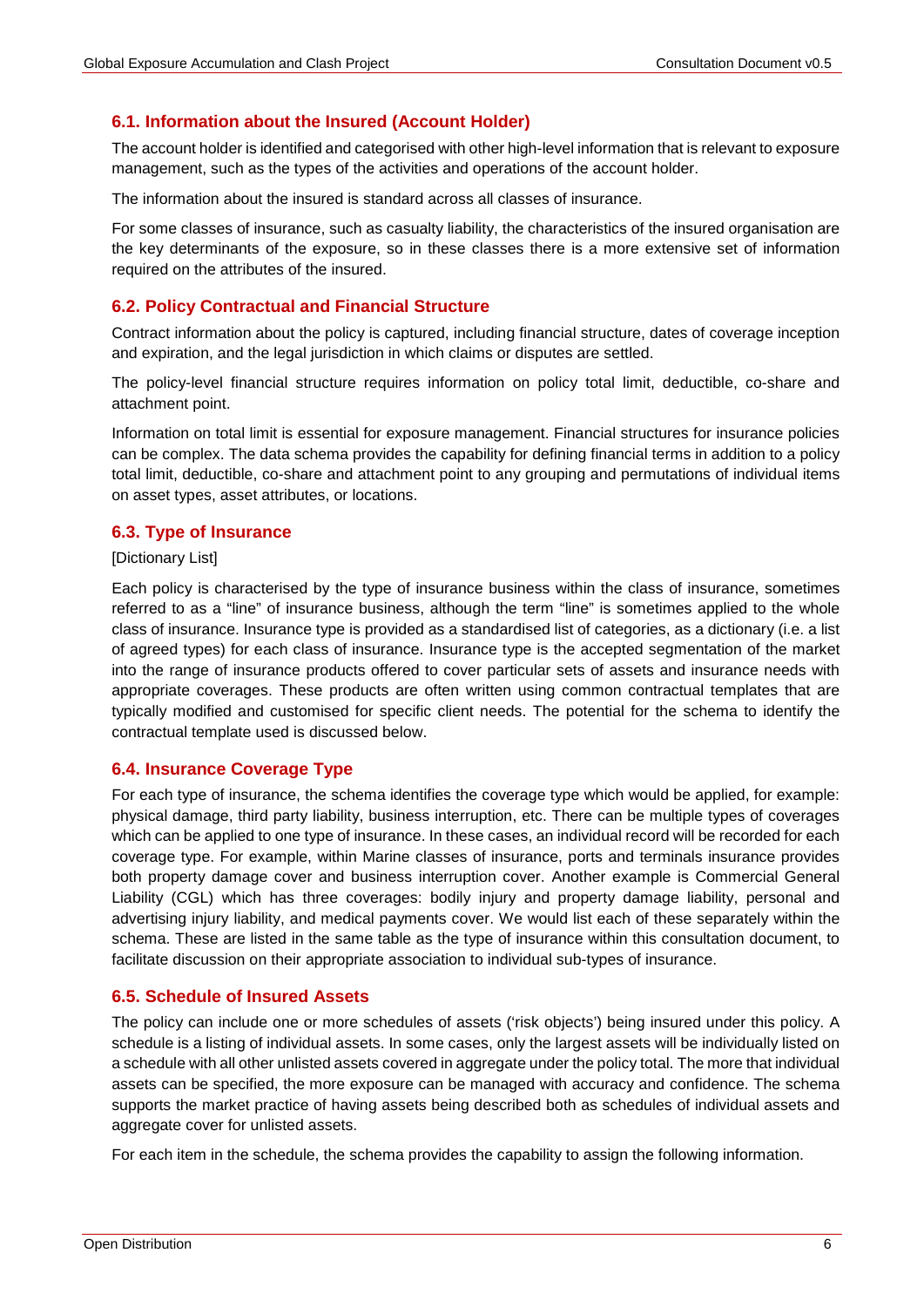## **6.1. Information about the Insured (Account Holder)**

The account holder is identified and categorised with other high-level information that is relevant to exposure management, such as the types of the activities and operations of the account holder.

The information about the insured is standard across all classes of insurance.

For some classes of insurance, such as casualty liability, the characteristics of the insured organisation are the key determinants of the exposure, so in these classes there is a more extensive set of information required on the attributes of the insured.

#### **6.2. Policy Contractual and Financial Structure**

Contract information about the policy is captured, including financial structure, dates of coverage inception and expiration, and the legal jurisdiction in which claims or disputes are settled.

The policy-level financial structure requires information on policy total limit, deductible, co-share and attachment point.

Information on total limit is essential for exposure management. Financial structures for insurance policies can be complex. The data schema provides the capability for defining financial terms in addition to a policy total limit, deductible, co-share and attachment point to any grouping and permutations of individual items on asset types, asset attributes, or locations.

#### **6.3. Type of Insurance**

#### [Dictionary List]

Each policy is characterised by the type of insurance business within the class of insurance, sometimes referred to as a "line" of insurance business, although the term "line" is sometimes applied to the whole class of insurance. Insurance type is provided as a standardised list of categories, as a dictionary (i.e. a list of agreed types) for each class of insurance. Insurance type is the accepted segmentation of the market into the range of insurance products offered to cover particular sets of assets and insurance needs with appropriate coverages. These products are often written using common contractual templates that are typically modified and customised for specific client needs. The potential for the schema to identify the contractual template used is discussed below.

#### **6.4. Insurance Coverage Type**

For each type of insurance, the schema identifies the coverage type which would be applied, for example: physical damage, third party liability, business interruption, etc. There can be multiple types of coverages which can be applied to one type of insurance. In these cases, an individual record will be recorded for each coverage type. For example, within Marine classes of insurance, ports and terminals insurance provides both property damage cover and business interruption cover. Another example is Commercial General Liability (CGL) which has three coverages: bodily injury and property damage liability, personal and advertising injury liability, and medical payments cover. We would list each of these separately within the schema. These are listed in the same table as the type of insurance within this consultation document, to facilitate discussion on their appropriate association to individual sub-types of insurance.

#### **6.5. Schedule of Insured Assets**

The policy can include one or more schedules of assets ('risk objects') being insured under this policy. A schedule is a listing of individual assets. In some cases, only the largest assets will be individually listed on a schedule with all other unlisted assets covered in aggregate under the policy total. The more that individual assets can be specified, the more exposure can be managed with accuracy and confidence. The schema supports the market practice of having assets being described both as schedules of individual assets and aggregate cover for unlisted assets.

For each item in the schedule, the schema provides the capability to assign the following information.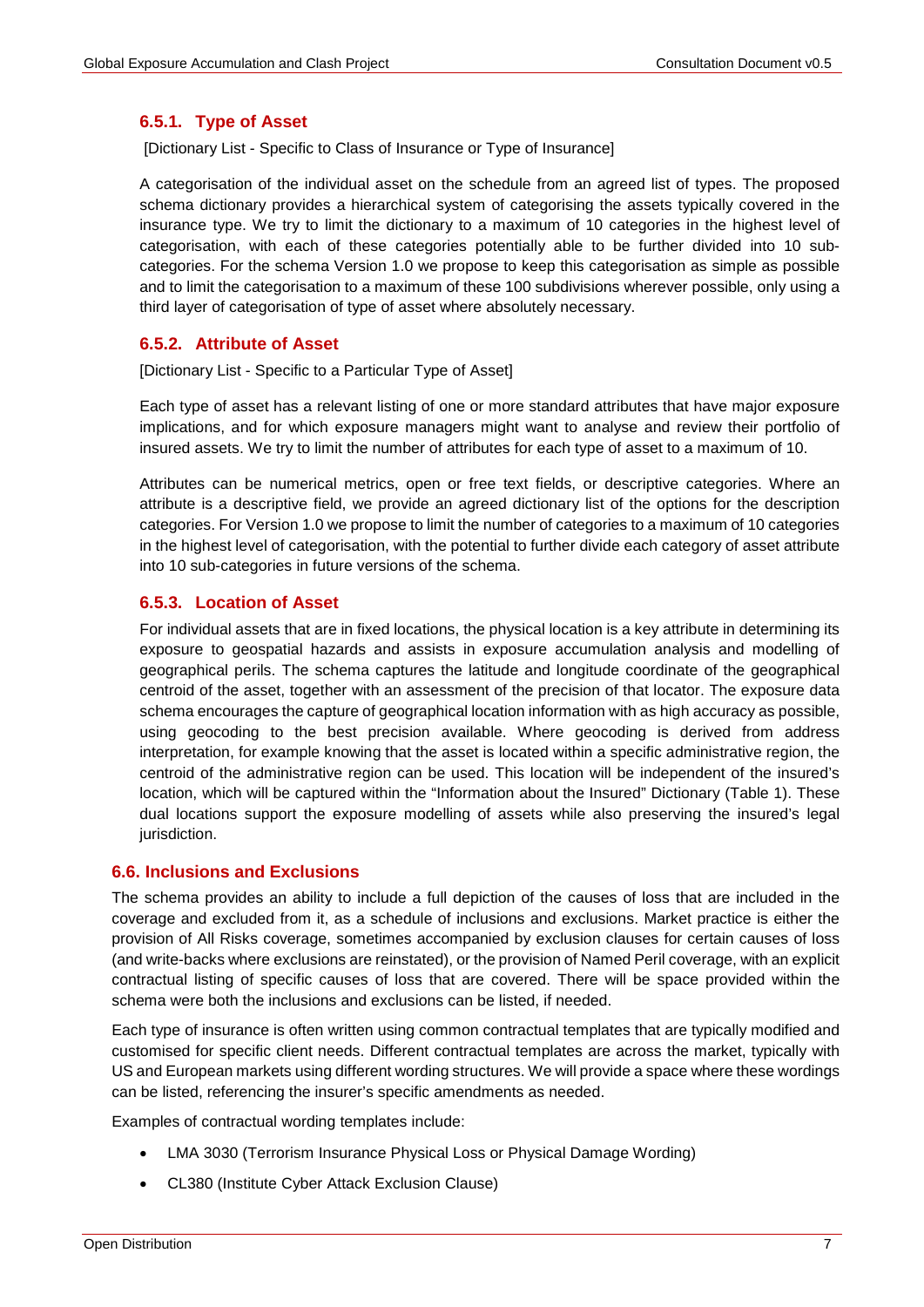#### **6.5.1. Type of Asset**

[Dictionary List - Specific to Class of Insurance or Type of Insurance]

A categorisation of the individual asset on the schedule from an agreed list of types. The proposed schema dictionary provides a hierarchical system of categorising the assets typically covered in the insurance type. We try to limit the dictionary to a maximum of 10 categories in the highest level of categorisation, with each of these categories potentially able to be further divided into 10 subcategories. For the schema Version 1.0 we propose to keep this categorisation as simple as possible and to limit the categorisation to a maximum of these 100 subdivisions wherever possible, only using a third layer of categorisation of type of asset where absolutely necessary.

## **6.5.2. Attribute of Asset**

[Dictionary List - Specific to a Particular Type of Asset]

Each type of asset has a relevant listing of one or more standard attributes that have major exposure implications, and for which exposure managers might want to analyse and review their portfolio of insured assets. We try to limit the number of attributes for each type of asset to a maximum of 10.

Attributes can be numerical metrics, open or free text fields, or descriptive categories. Where an attribute is a descriptive field, we provide an agreed dictionary list of the options for the description categories. For Version 1.0 we propose to limit the number of categories to a maximum of 10 categories in the highest level of categorisation, with the potential to further divide each category of asset attribute into 10 sub-categories in future versions of the schema.

## **6.5.3. Location of Asset**

For individual assets that are in fixed locations, the physical location is a key attribute in determining its exposure to geospatial hazards and assists in exposure accumulation analysis and modelling of geographical perils. The schema captures the latitude and longitude coordinate of the geographical centroid of the asset, together with an assessment of the precision of that locator. The exposure data schema encourages the capture of geographical location information with as high accuracy as possible, using geocoding to the best precision available. Where geocoding is derived from address interpretation, for example knowing that the asset is located within a specific administrative region, the centroid of the administrative region can be used. This location will be independent of the insured's location, which will be captured within the "Information about the Insured" Dictionary (Table 1). These dual locations support the exposure modelling of assets while also preserving the insured's legal jurisdiction.

#### **6.6. Inclusions and Exclusions**

The schema provides an ability to include a full depiction of the causes of loss that are included in the coverage and excluded from it, as a schedule of inclusions and exclusions. Market practice is either the provision of All Risks coverage, sometimes accompanied by exclusion clauses for certain causes of loss (and write-backs where exclusions are reinstated), or the provision of Named Peril coverage, with an explicit contractual listing of specific causes of loss that are covered. There will be space provided within the schema were both the inclusions and exclusions can be listed, if needed.

Each type of insurance is often written using common contractual templates that are typically modified and customised for specific client needs. Different contractual templates are across the market, typically with US and European markets using different wording structures. We will provide a space where these wordings can be listed, referencing the insurer's specific amendments as needed.

Examples of contractual wording templates include:

- LMA 3030 (Terrorism Insurance Physical Loss or Physical Damage Wording)
- CL380 (Institute Cyber Attack Exclusion Clause)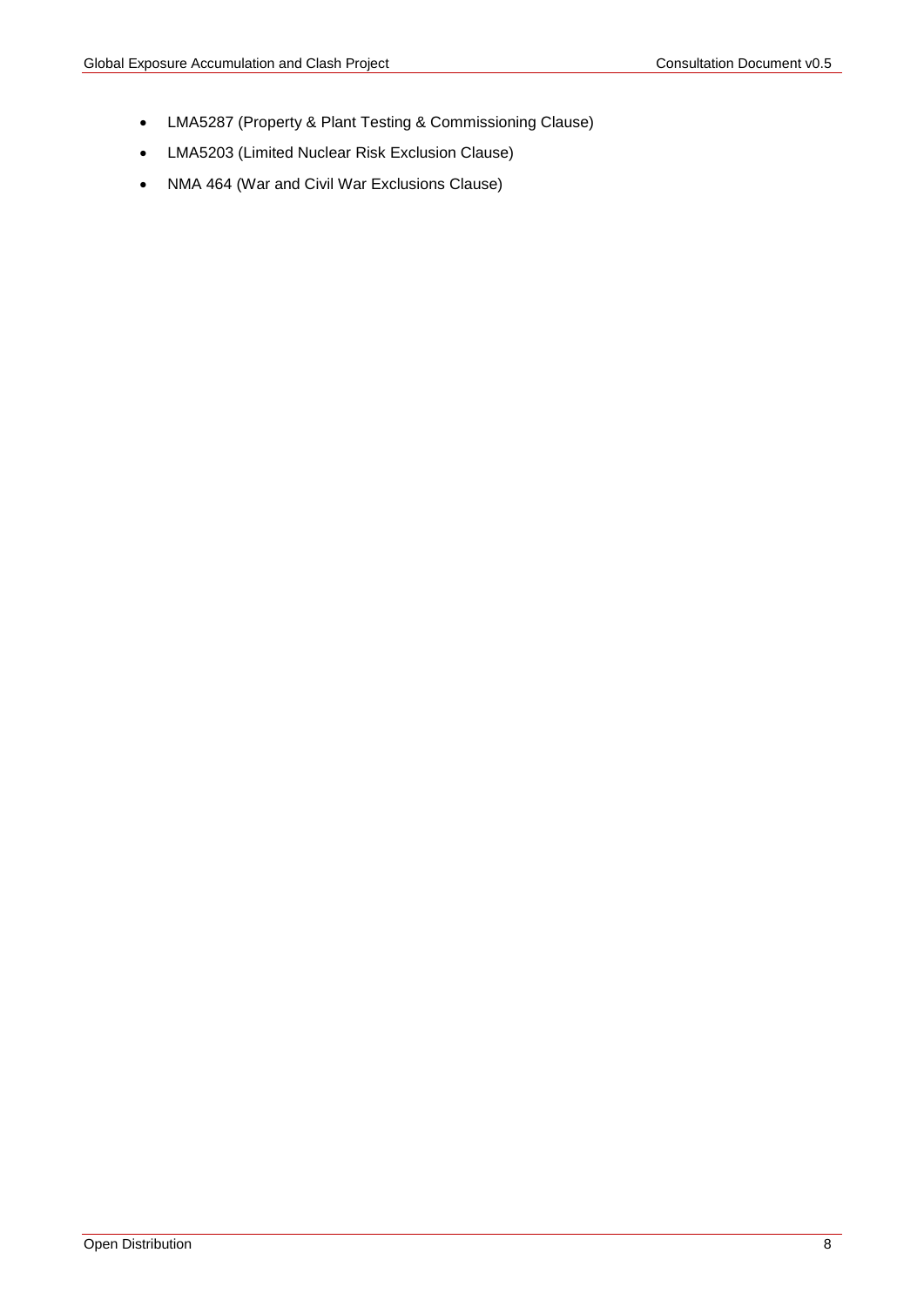- LMA5287 (Property & Plant Testing & Commissioning Clause)
- LMA5203 (Limited Nuclear Risk Exclusion Clause)
- NMA 464 (War and Civil War Exclusions Clause)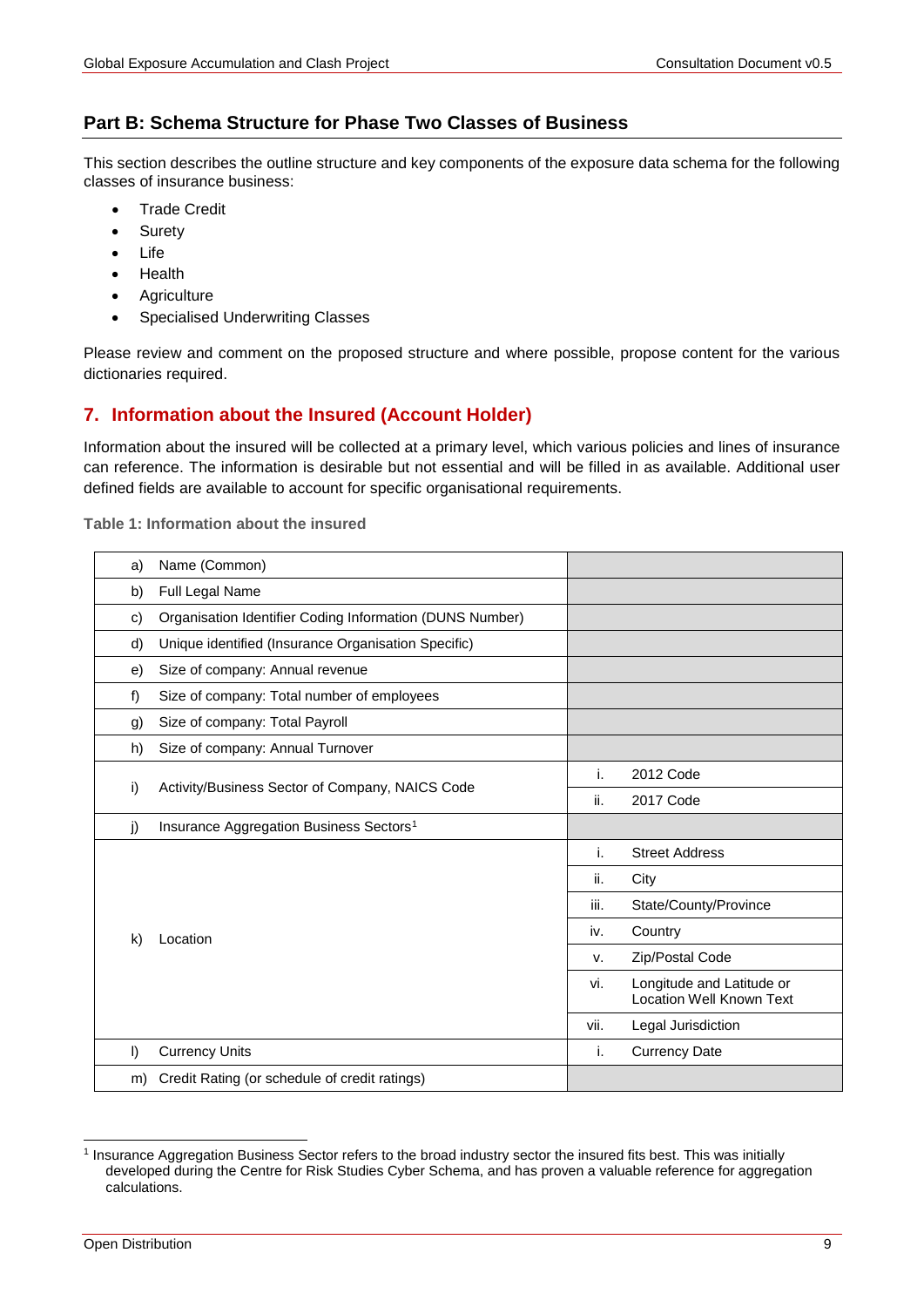## **Part B: Schema Structure for Phase Two Classes of Business**

This section describes the outline structure and key components of the exposure data schema for the following classes of insurance business:

- **Trade Credit**
- **Suretv**
- Life
- **Health**
- Agriculture
- Specialised Underwriting Classes

Please review and comment on the proposed structure and where possible, propose content for the various dictionaries required.

## <span id="page-8-0"></span>**7. Information about the Insured (Account Holder)**

Information about the insured will be collected at a primary level, which various policies and lines of insurance can reference. The information is desirable but not essential and will be filled in as available. Additional user defined fields are available to account for specific organisational requirements.

<span id="page-8-3"></span>**Table 1: Information about the insured**

<span id="page-8-1"></span>

| a)           | Name (Common)                                            |     |                                                              |
|--------------|----------------------------------------------------------|-----|--------------------------------------------------------------|
| b)           | Full Legal Name                                          |     |                                                              |
| c)           | Organisation Identifier Coding Information (DUNS Number) |     |                                                              |
| d)           | Unique identified (Insurance Organisation Specific)      |     |                                                              |
| e)           | Size of company: Annual revenue                          |     |                                                              |
| $f$ )        | Size of company: Total number of employees               |     |                                                              |
| g)           | Size of company: Total Payroll                           |     |                                                              |
| h)           | Size of company: Annual Turnover                         |     |                                                              |
|              |                                                          |     | 2012 Code                                                    |
| i)           | Activity/Business Sector of Company, NAICS Code          | ii. | 2017 Code                                                    |
| j)           | Insurance Aggregation Business Sectors <sup>1</sup>      |     |                                                              |
|              |                                                          | i.  | <b>Street Address</b>                                        |
|              |                                                          | ii. | City                                                         |
|              | Location                                                 |     | State/County/Province                                        |
| $\mathsf{k}$ |                                                          |     | Country                                                      |
|              |                                                          |     | Zip/Postal Code                                              |
|              |                                                          |     | Longitude and Latitude or<br><b>Location Well Known Text</b> |
|              |                                                          |     | Legal Jurisdiction                                           |
| $\vert$      | <b>Currency Units</b>                                    | i.  | <b>Currency Date</b>                                         |
| m)           | Credit Rating (or schedule of credit ratings)            |     |                                                              |

<span id="page-8-2"></span> <sup>1</sup> Insurance Aggregation Business Sector refers to the broad industry sector the insured fits best. This was initially developed during the Centre for Risk Studies Cyber Schema, and has proven a valuable reference for aggregation calculations.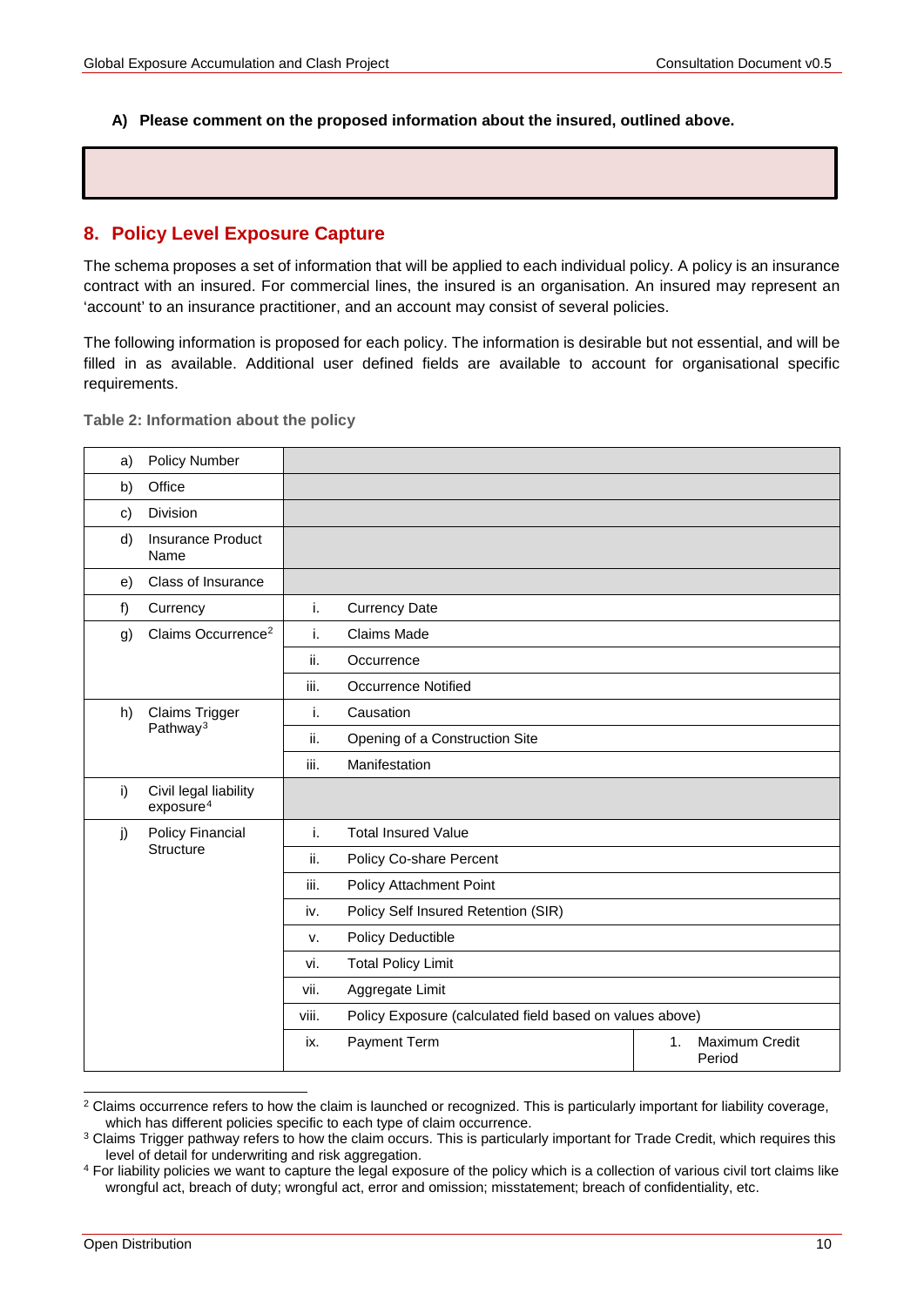#### **A) Please comment on the proposed information about the insured, outlined above.**

## <span id="page-9-0"></span>**8. Policy Level Exposure Capture**

The schema proposes a set of information that will be applied to each individual policy. A policy is an insurance contract with an insured. For commercial lines, the insured is an organisation. An insured may represent an 'account' to an insurance practitioner, and an account may consist of several policies.

The following information is proposed for each policy. The information is desirable but not essential, and will be filled in as available. Additional user defined fields are available to account for organisational specific requirements.

**Table 2: Information about the policy** 

| a) | Policy Number                                  |                                                                   |                                                       |  |  |  |
|----|------------------------------------------------|-------------------------------------------------------------------|-------------------------------------------------------|--|--|--|
| b) | Office                                         |                                                                   |                                                       |  |  |  |
| c) | Division                                       |                                                                   |                                                       |  |  |  |
| d) | <b>Insurance Product</b><br>Name               |                                                                   |                                                       |  |  |  |
| e) | Class of Insurance                             |                                                                   |                                                       |  |  |  |
| f) | Currency                                       | i.                                                                | <b>Currency Date</b>                                  |  |  |  |
| g) | Claims Occurrence <sup>2</sup>                 | i.                                                                | Claims Made                                           |  |  |  |
|    |                                                | ii.                                                               | Occurrence                                            |  |  |  |
|    |                                                | iii.                                                              | <b>Occurrence Notified</b>                            |  |  |  |
| h) | Claims Trigger                                 | i.                                                                | Causation                                             |  |  |  |
|    | Pathway <sup>3</sup>                           | ii.<br>Opening of a Construction Site                             |                                                       |  |  |  |
|    |                                                | iii.                                                              | Manifestation                                         |  |  |  |
| i) | Civil legal liability<br>exposure <sup>4</sup> |                                                                   |                                                       |  |  |  |
| j) | Policy Financial                               | i.                                                                | <b>Total Insured Value</b>                            |  |  |  |
|    | <b>Structure</b>                               | Policy Co-share Percent<br>ii.                                    |                                                       |  |  |  |
|    |                                                | Policy Attachment Point<br>iii.                                   |                                                       |  |  |  |
|    |                                                | Policy Self Insured Retention (SIR)<br>iv.                        |                                                       |  |  |  |
|    |                                                | Policy Deductible<br>v.                                           |                                                       |  |  |  |
|    |                                                | <b>Total Policy Limit</b><br>vi.                                  |                                                       |  |  |  |
|    |                                                | Aggregate Limit<br>vii.                                           |                                                       |  |  |  |
|    |                                                | Policy Exposure (calculated field based on values above)<br>viii. |                                                       |  |  |  |
|    |                                                | ix.                                                               | Payment Term<br>1.<br><b>Maximum Credit</b><br>Period |  |  |  |

<span id="page-9-1"></span><sup>&</sup>lt;sup>2</sup> Claims occurrence refers to how the claim is launched or recognized. This is particularly important for liability coverage,

<span id="page-9-2"></span>which has different policies specific to each type of claim occurrence.<br><sup>3</sup> Claims Trigger pathway refers to how the claim occurs. This is particularly important for Trade Credit, which requires this level of detail for underwriting and risk aggregation.

<span id="page-9-3"></span><sup>4</sup> For liability policies we want to capture the legal exposure of the policy which is a collection of various civil tort claims like wrongful act, breach of duty; wrongful act, error and omission; misstatement; breach of confidentiality, etc.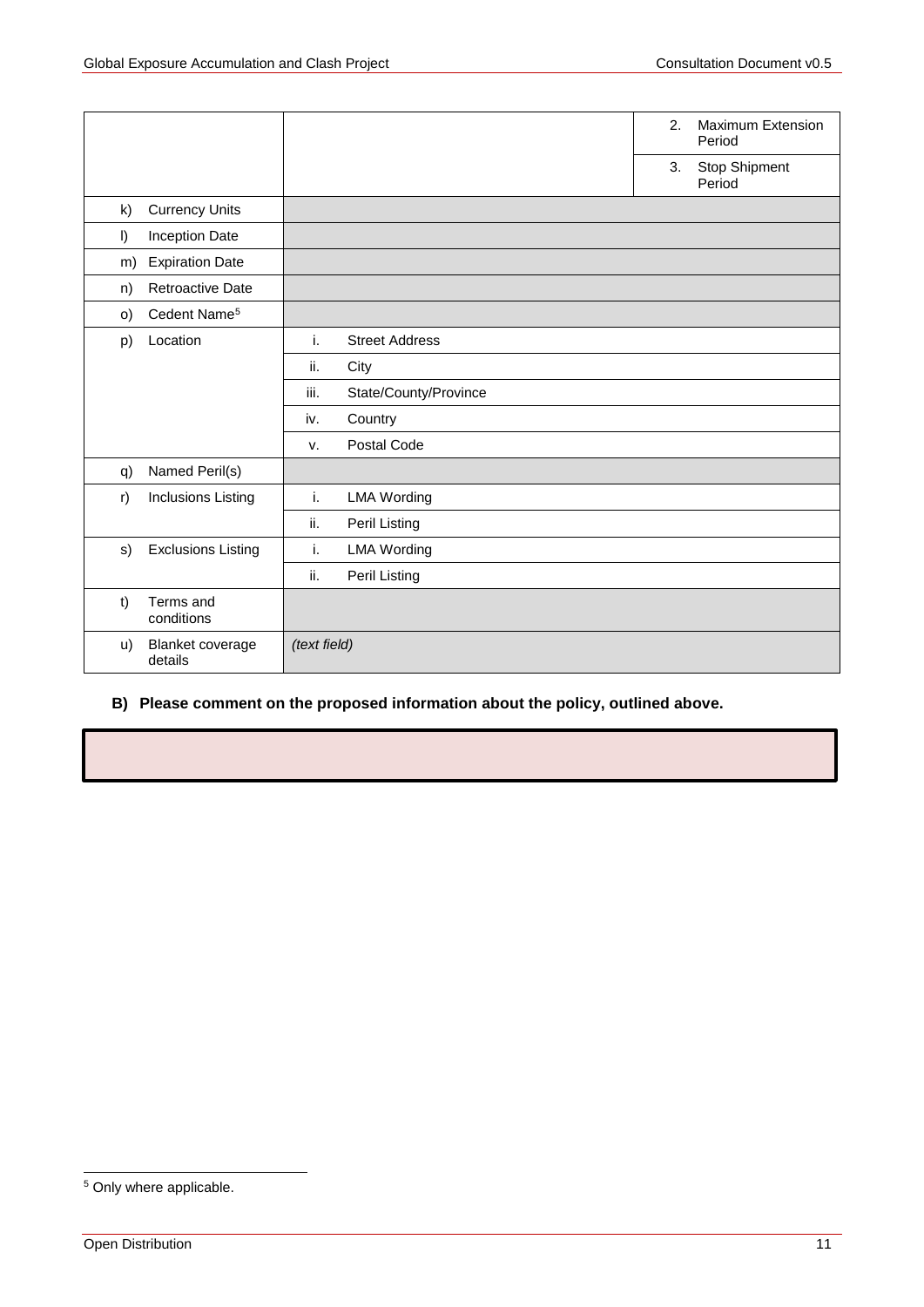|          |                             |              |                       | 2. | <b>Maximum Extension</b><br>Period |
|----------|-----------------------------|--------------|-----------------------|----|------------------------------------|
|          |                             |              |                       | 3. | Stop Shipment<br>Period            |
| k)       | <b>Currency Units</b>       |              |                       |    |                                    |
| $\vert$  | Inception Date              |              |                       |    |                                    |
| m)       | <b>Expiration Date</b>      |              |                       |    |                                    |
| n)       | <b>Retroactive Date</b>     |              |                       |    |                                    |
| $\circ)$ | Cedent Name <sup>5</sup>    |              |                       |    |                                    |
| p)       | Location                    | i.           | <b>Street Address</b> |    |                                    |
|          |                             | ii.          | City                  |    |                                    |
|          |                             | iii.         | State/County/Province |    |                                    |
|          |                             | iv.          | Country               |    |                                    |
|          |                             | v.           | Postal Code           |    |                                    |
| q)       | Named Peril(s)              |              |                       |    |                                    |
| r)       | Inclusions Listing          | i.           | <b>LMA Wording</b>    |    |                                    |
|          |                             | ii.          | Peril Listing         |    |                                    |
| s)       | <b>Exclusions Listing</b>   | i.           | <b>LMA Wording</b>    |    |                                    |
|          |                             | ii.          | Peril Listing         |    |                                    |
| $1$      | Terms and<br>conditions     |              |                       |    |                                    |
| u)       | Blanket coverage<br>details | (text field) |                       |    |                                    |

## <span id="page-10-0"></span>**B) Please comment on the proposed information about the policy, outlined above.**

<span id="page-10-1"></span> <sup>5</sup> Only where applicable.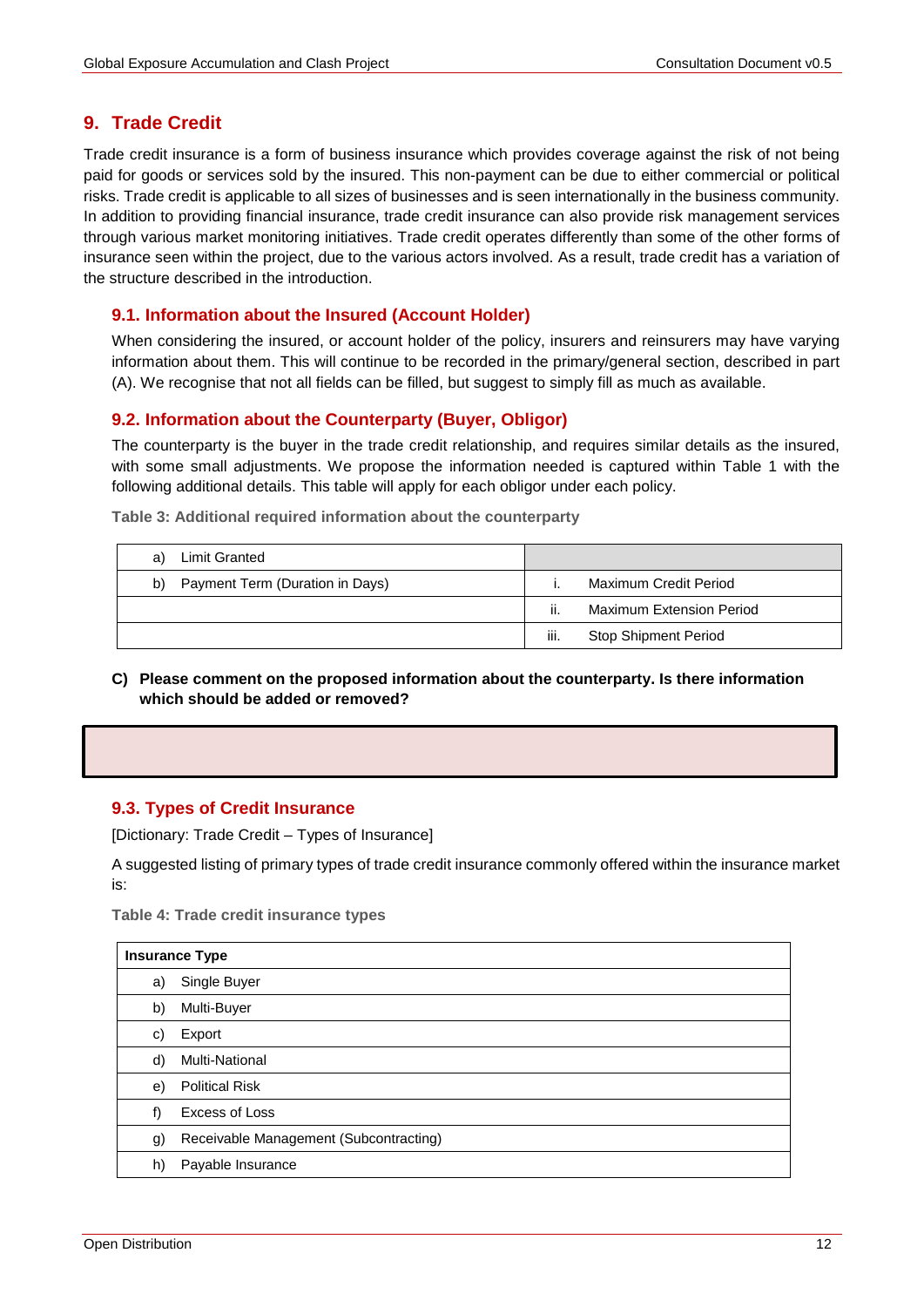## **9. Trade Credit**

Trade credit insurance is a form of business insurance which provides coverage against the risk of not being paid for goods or services sold by the insured. This non-payment can be due to either commercial or political risks. Trade credit is applicable to all sizes of businesses and is seen internationally in the business community. In addition to providing financial insurance, trade credit insurance can also provide risk management services through various market monitoring initiatives. Trade credit operates differently than some of the other forms of insurance seen within the project, due to the various actors involved. As a result, trade credit has a variation of the structure described in the introduction.

## **9.1. Information about the Insured (Account Holder)**

When considering the insured, or account holder of the policy, insurers and reinsurers may have varying information about them. This will continue to be recorded in the primary/general section, described in part (A). We recognise that not all fields can be filled, but suggest to simply fill as much as available.

## **9.2. Information about the Counterparty (Buyer, Obligor)**

The counterparty is the buyer in the trade credit relationship, and requires similar details as the insured, with some small adjustments. We propose the information needed is captured within [Table 1](#page-8-3) with the following additional details. This table will apply for each obligor under each policy.

**Table 3: Additional required information about the counterparty** 

| Limit Granted<br>a)                   |      |                             |
|---------------------------------------|------|-----------------------------|
| Payment Term (Duration in Days)<br>b) |      | Maximum Credit Period       |
|                                       | Ш.   | Maximum Extension Period    |
|                                       | iii. | <b>Stop Shipment Period</b> |

**C) Please comment on the proposed information about the counterparty. Is there information which should be added or removed?**

#### **9.3. Types of Credit Insurance**

[Dictionary: Trade Credit – Types of Insurance]

A suggested listing of primary types of trade credit insurance commonly offered within the insurance market is:

**Table 4: Trade credit insurance types**

|    | <b>Insurance Type</b>                  |  |  |  |  |  |  |
|----|----------------------------------------|--|--|--|--|--|--|
| a) | Single Buyer                           |  |  |  |  |  |  |
| b) | Multi-Buyer                            |  |  |  |  |  |  |
| C) | Export                                 |  |  |  |  |  |  |
| d) | Multi-National                         |  |  |  |  |  |  |
| e) | <b>Political Risk</b>                  |  |  |  |  |  |  |
| f) | Excess of Loss                         |  |  |  |  |  |  |
| g) | Receivable Management (Subcontracting) |  |  |  |  |  |  |
| h) | Payable Insurance                      |  |  |  |  |  |  |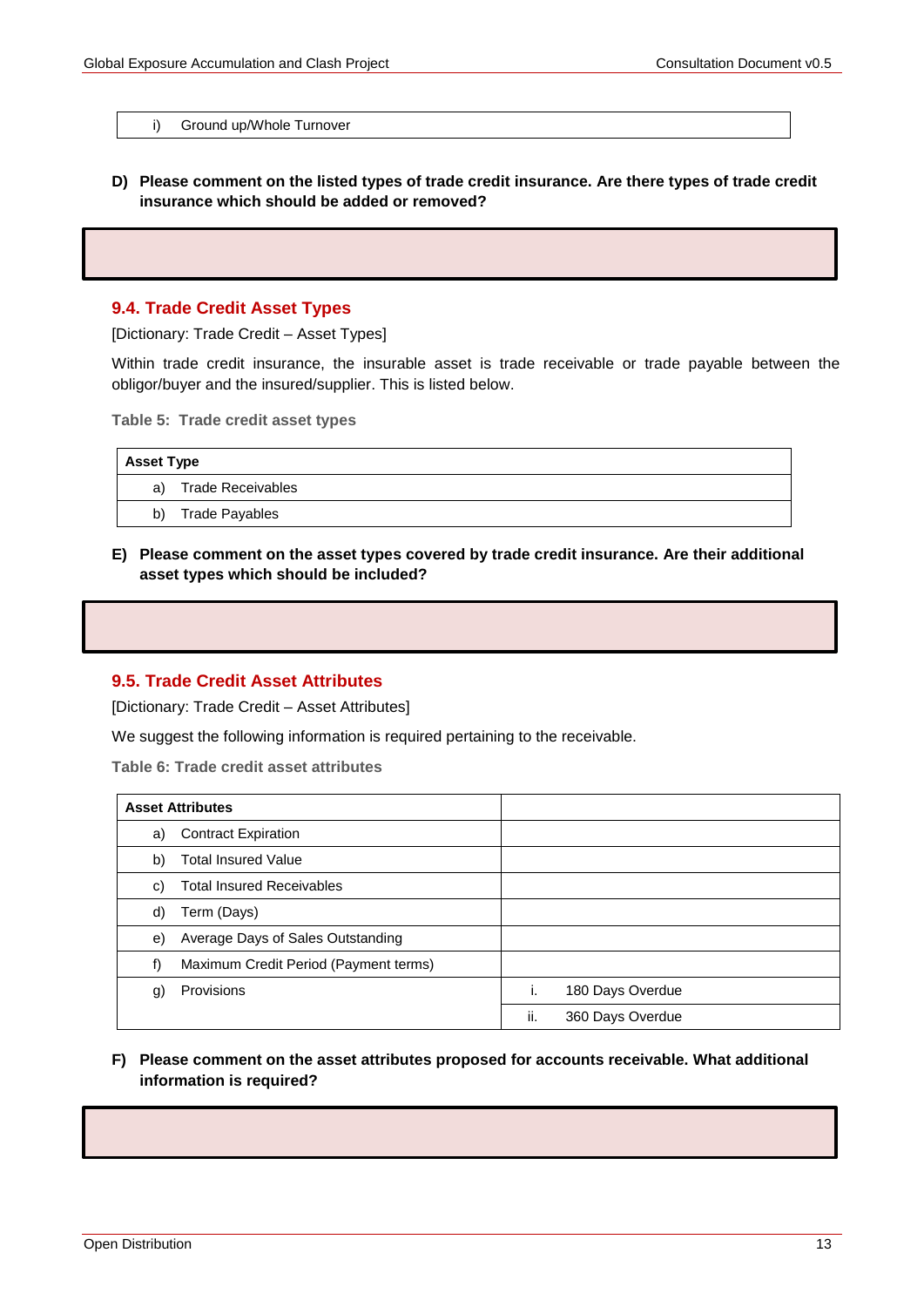i) Ground up/Whole Turnover

**D) Please comment on the listed types of trade credit insurance. Are there types of trade credit insurance which should be added or removed?**

#### **9.4. Trade Credit Asset Types**

[Dictionary: Trade Credit – Asset Types]

Within trade credit insurance, the insurable asset is trade receivable or trade payable between the obligor/buyer and the insured/supplier. This is listed below.

**Table 5: Trade credit asset types**

| <b>Asset Type</b> |                      |  |  |  |
|-------------------|----------------------|--|--|--|
|                   | a) Trade Receivables |  |  |  |
|                   | b) Trade Payables    |  |  |  |

**E) Please comment on the asset types covered by trade credit insurance. Are their additional asset types which should be included?**

#### **9.5. Trade Credit Asset Attributes**

[Dictionary: Trade Credit – Asset Attributes]

We suggest the following information is required pertaining to the receivable.

**Table 6: Trade credit asset attributes**

| <b>Asset Attributes</b>                     |                         |
|---------------------------------------------|-------------------------|
| <b>Contract Expiration</b><br>a)            |                         |
| <b>Total Insured Value</b><br>b)            |                         |
| <b>Total Insured Receivables</b><br>C)      |                         |
| Term (Days)<br>d)                           |                         |
| Average Days of Sales Outstanding<br>e)     |                         |
| Maximum Credit Period (Payment terms)<br>f) |                         |
| Provisions<br>g)                            | 180 Days Overdue        |
|                                             | ii.<br>360 Days Overdue |

#### **F) Please comment on the asset attributes proposed for accounts receivable. What additional information is required?**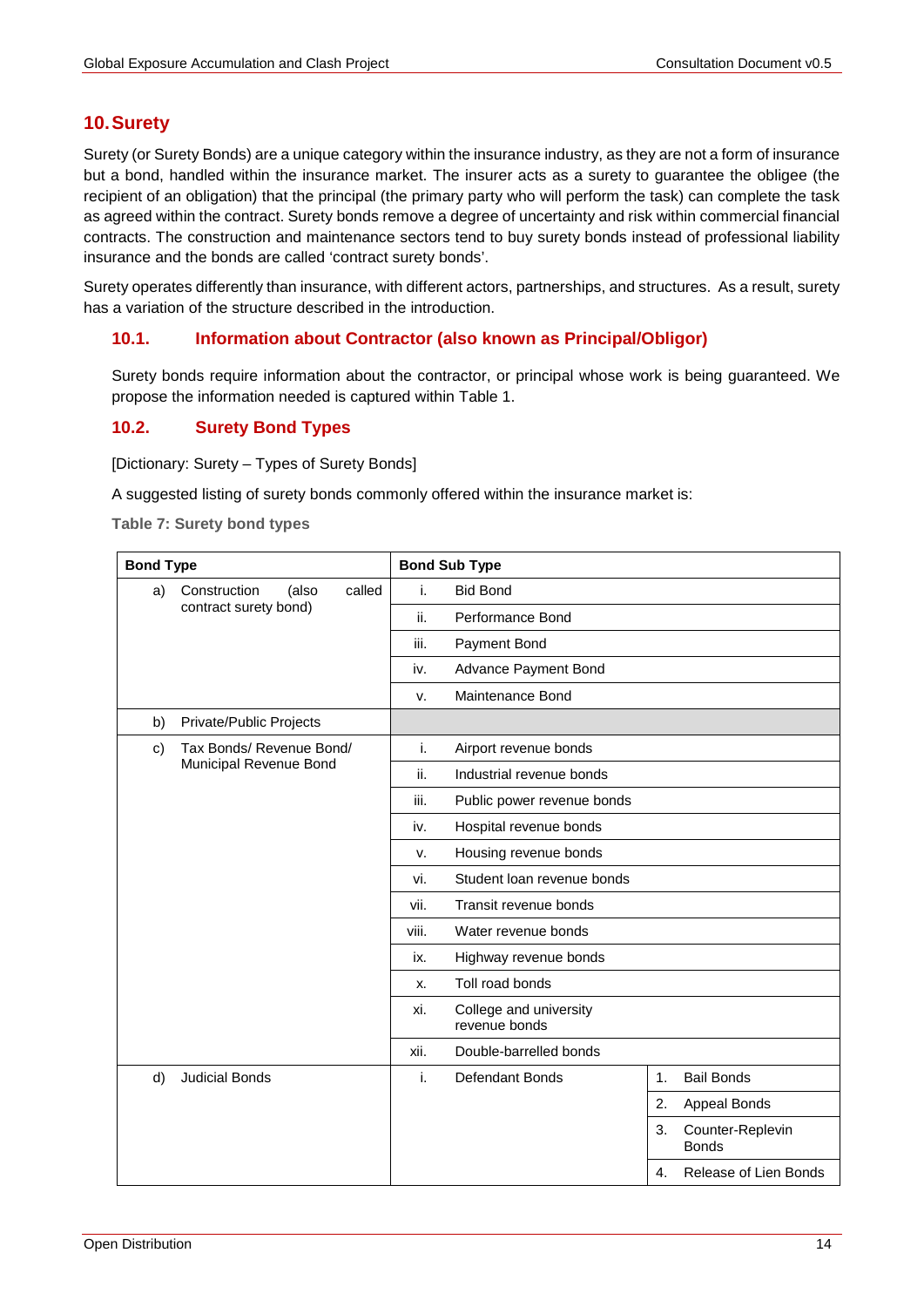# <span id="page-13-0"></span>**10.Surety**

Surety (or Surety Bonds) are a unique category within the insurance industry, as they are not a form of insurance but a bond, handled within the insurance market. The insurer acts as a surety to guarantee the obligee (the recipient of an obligation) that the principal (the primary party who will perform the task) can complete the task as agreed within the contract. Surety bonds remove a degree of uncertainty and risk within commercial financial contracts. The construction and maintenance sectors tend to buy surety bonds instead of professional liability insurance and the bonds are called 'contract surety bonds'.

Surety operates differently than insurance, with different actors, partnerships, and structures. As a result, surety has a variation of the structure described in the introduction.

## **10.1. Information about Contractor (also known as Principal/Obligor)**

Surety bonds require information about the contractor, or principal whose work is being guaranteed. We propose the information needed is captured within Table 1.

## **10.2. Surety Bond Types**

[Dictionary: Surety – Types of Surety Bonds]

A suggested listing of surety bonds commonly offered within the insurance market is:

**Table 7: Surety bond types**

| <b>Bond Type</b>                         | <b>Bond Sub Type</b> |                                            |
|------------------------------------------|----------------------|--------------------------------------------|
| called<br>Construction<br>a)<br>(also    | i.                   | <b>Bid Bond</b>                            |
| contract surety bond)                    | ii.                  | Performance Bond                           |
|                                          | iii.                 | Payment Bond                               |
|                                          | iv.                  | Advance Payment Bond                       |
|                                          | v.                   | Maintenance Bond                           |
| Private/Public Projects<br>b)            |                      |                                            |
| Tax Bonds/ Revenue Bond/<br>$\mathbf{c}$ | i.                   | Airport revenue bonds                      |
| Municipal Revenue Bond                   | ii.                  | Industrial revenue bonds                   |
|                                          | iii.                 | Public power revenue bonds                 |
|                                          | iv.                  | Hospital revenue bonds                     |
|                                          | v.                   | Housing revenue bonds                      |
|                                          | vi.                  | Student Ioan revenue bonds                 |
|                                          | vii.                 | Transit revenue bonds                      |
|                                          | viii.                | Water revenue bonds                        |
|                                          | ix.                  | Highway revenue bonds                      |
|                                          | х.                   | Toll road bonds                            |
|                                          | xi.                  | College and university<br>revenue bonds    |
|                                          | xii.                 | Double-barrelled bonds                     |
| d)<br><b>Judicial Bonds</b>              | i.                   | <b>Bail Bonds</b><br>Defendant Bonds<br>1. |
|                                          |                      | 2.<br>Appeal Bonds                         |
|                                          |                      | 3.<br>Counter-Replevin<br><b>Bonds</b>     |
|                                          |                      | $\mathbf{4}$ .<br>Release of Lien Bonds    |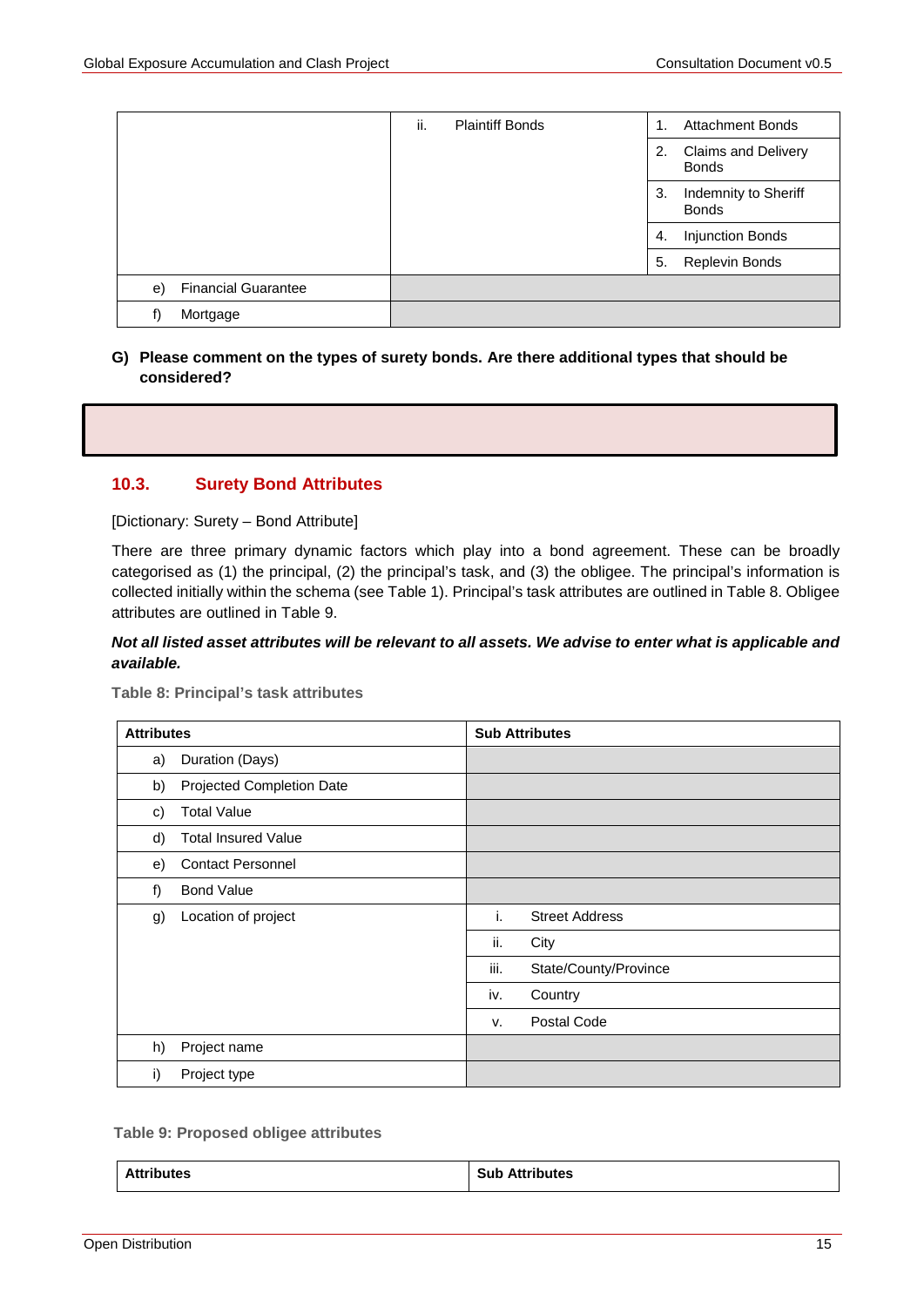|                                  | ii. | <b>Plaintiff Bonds</b> | 1. | <b>Attachment Bonds</b>                    |
|----------------------------------|-----|------------------------|----|--------------------------------------------|
|                                  |     |                        | 2. | <b>Claims and Delivery</b><br><b>Bonds</b> |
|                                  |     |                        | 3. | Indemnity to Sheriff<br><b>Bonds</b>       |
|                                  |     |                        | 4. | Injunction Bonds                           |
|                                  |     |                        | 5. | Replevin Bonds                             |
| <b>Financial Guarantee</b><br>e) |     |                        |    |                                            |
| Mortgage<br>f)                   |     |                        |    |                                            |

#### **G) Please comment on the types of surety bonds. Are there additional types that should be considered?**

## **10.3. Surety Bond Attributes**

[Dictionary: Surety – Bond Attribute]

There are three primary dynamic factors which play into a bond agreement. These can be broadly categorised as (1) the principal, (2) the principal's task, and (3) the obligee. The principal's information is collected initially within the schema (see Table 1). Principal's task attributes are outlined in [Table 8.](#page-14-0) Obligee attributes are outlined in [Table 9.](#page-14-1)

## *Not all listed asset attributes will be relevant to all assets. We advise to enter what is applicable and available.*

<span id="page-14-0"></span>**Table 8: Principal's task attributes**

| <b>Attributes</b> |                            | <b>Sub Attributes</b>         |
|-------------------|----------------------------|-------------------------------|
| a)                | Duration (Days)            |                               |
| b)                | Projected Completion Date  |                               |
| C)                | <b>Total Value</b>         |                               |
| d)                | <b>Total Insured Value</b> |                               |
| e)                | <b>Contact Personnel</b>   |                               |
| f)                | <b>Bond Value</b>          |                               |
| g)                | Location of project        | i.<br><b>Street Address</b>   |
|                   |                            | ii.<br>City                   |
|                   |                            | iii.<br>State/County/Province |
|                   |                            | Country<br>iv.                |
|                   |                            | Postal Code<br>v.             |
| h)                | Project name               |                               |
| i)                | Project type               |                               |

#### <span id="page-14-1"></span> **Table 9: Proposed obligee attributes**

| Attrib<br>ibutes<br>. | <b>Attributes</b><br>Sub<br>Att<br>- ---- --- -- - - - |
|-----------------------|--------------------------------------------------------|
|-----------------------|--------------------------------------------------------|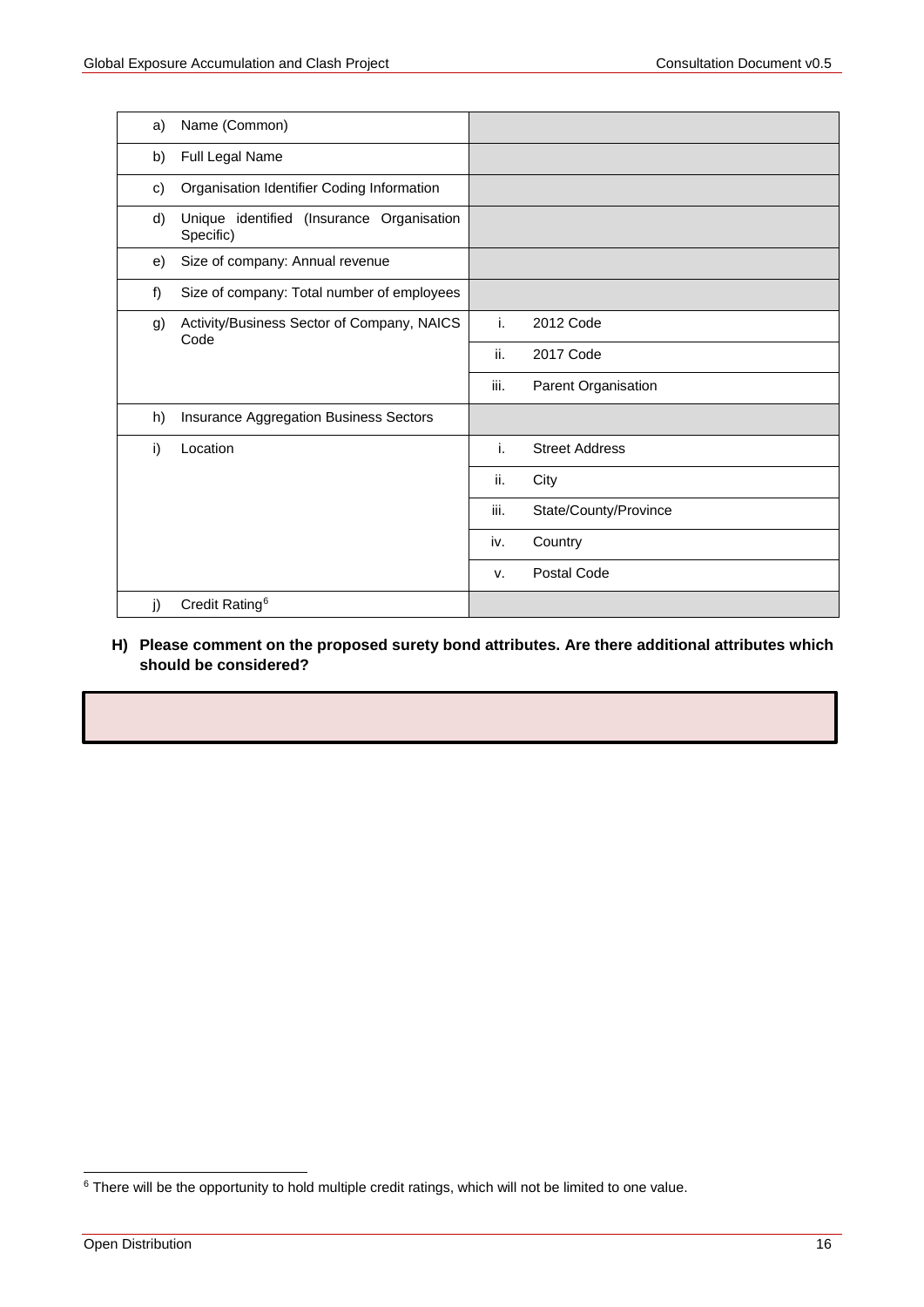| a) | Name (Common)                                          |      |                       |
|----|--------------------------------------------------------|------|-----------------------|
| b) | Full Legal Name                                        |      |                       |
| C) | Organisation Identifier Coding Information             |      |                       |
| d) | Unique identified (Insurance Organisation<br>Specific) |      |                       |
| e) | Size of company: Annual revenue                        |      |                       |
| f) | Size of company: Total number of employees             |      |                       |
| g) | Activity/Business Sector of Company, NAICS<br>Code     | i.   | 2012 Code             |
|    |                                                        | ii.  | 2017 Code             |
|    |                                                        | iii. | Parent Organisation   |
| h) | Insurance Aggregation Business Sectors                 |      |                       |
| i) | Location                                               | i.   | <b>Street Address</b> |
|    |                                                        | ii.  | City                  |
|    |                                                        | iii. | State/County/Province |
|    |                                                        | iv.  | Country               |
|    |                                                        | v.   | <b>Postal Code</b>    |
| j) | Credit Rating <sup>6</sup>                             |      |                       |

#### <span id="page-15-0"></span>**H) Please comment on the proposed surety bond attributes. Are there additional attributes which should be considered?**

<span id="page-15-1"></span><sup>&</sup>lt;sup>6</sup> There will be the opportunity to hold multiple credit ratings, which will not be limited to one value.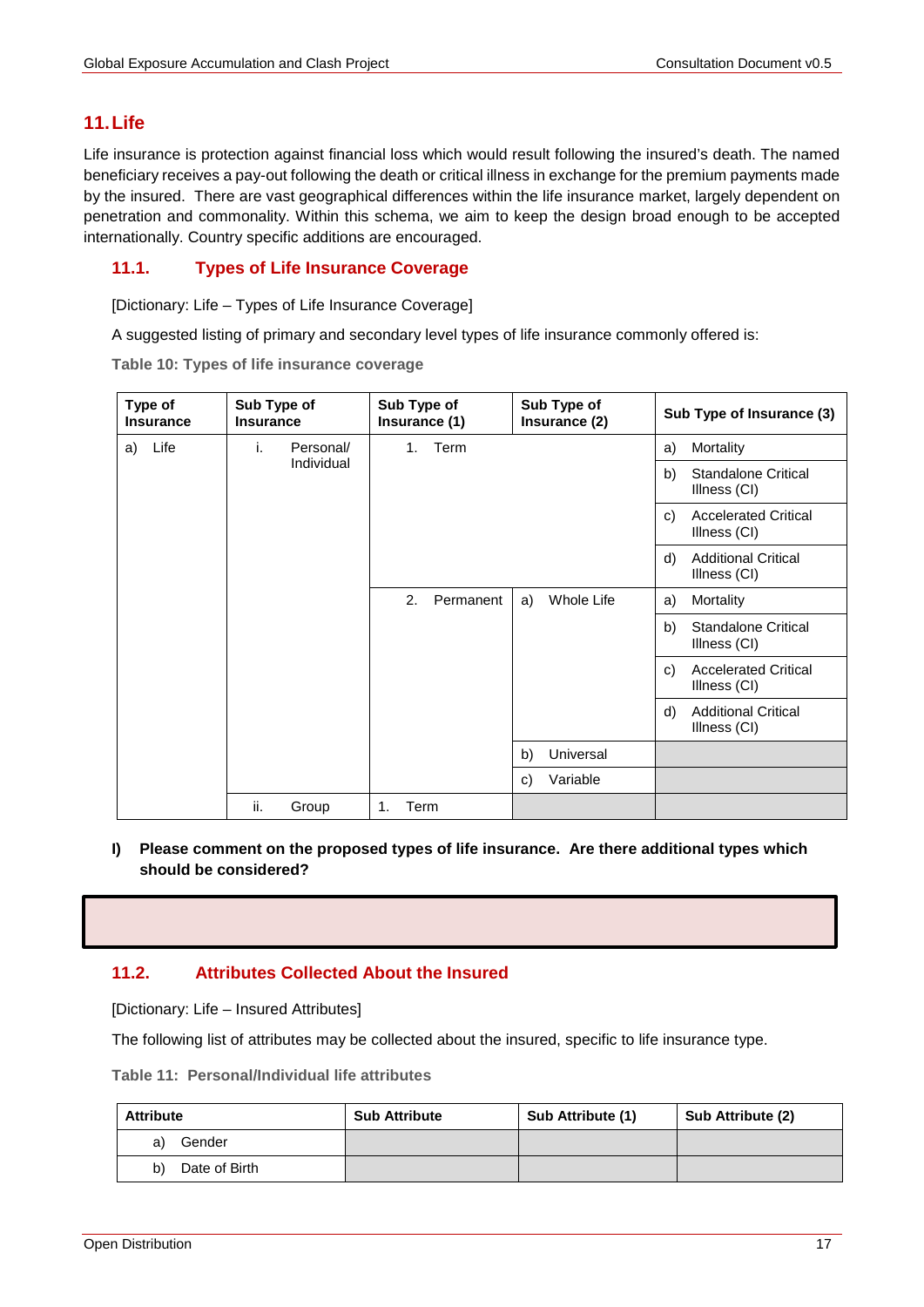## **11.Life**

Life insurance is protection against financial loss which would result following the insured's death. The named beneficiary receives a pay-out following the death or critical illness in exchange for the premium payments made by the insured. There are vast geographical differences within the life insurance market, largely dependent on penetration and commonality. Within this schema, we aim to keep the design broad enough to be accepted internationally. Country specific additions are encouraged.

## **11.1. Types of Life Insurance Coverage**

[Dictionary: Life – Types of Life Insurance Coverage]

A suggested listing of primary and secondary level types of life insurance commonly offered is:

**Table 10: Types of life insurance coverage**

| Type of<br><b>Insurance</b> | Sub Type of<br><b>Insurance</b> |            | Sub Type of<br>Insurance (1) |      |           | Sub Type of<br>Insurance (2) | Sub Type of Insurance (3) |    |                                             |
|-----------------------------|---------------------------------|------------|------------------------------|------|-----------|------------------------------|---------------------------|----|---------------------------------------------|
| Life<br>a)                  | i.                              | Personal/  |                              | 1.   | Term      |                              |                           | a) | Mortality                                   |
|                             |                                 | Individual |                              |      |           |                              |                           | b) | <b>Standalone Critical</b><br>Illness (CI)  |
|                             |                                 |            |                              |      |           |                              |                           | C) | <b>Accelerated Critical</b><br>Illness (CI) |
|                             |                                 |            |                              |      |           |                              |                           | d) | <b>Additional Critical</b><br>Illness (CI)  |
|                             |                                 |            |                              | 2.   | Permanent | a)                           | Whole Life                | a) | Mortality                                   |
|                             |                                 |            |                              |      |           |                              |                           | b) | <b>Standalone Critical</b><br>Illness (CI)  |
|                             |                                 |            |                              |      |           |                              |                           | C) | <b>Accelerated Critical</b><br>Illness (CI) |
|                             |                                 |            |                              |      |           |                              |                           | d) | <b>Additional Critical</b><br>Illness (CI)  |
|                             |                                 |            |                              |      |           | b)                           | Universal                 |    |                                             |
|                             |                                 |            |                              |      |           | C)                           | Variable                  |    |                                             |
|                             | ii.                             | Group      | 1.                           | Term |           |                              |                           |    |                                             |

#### **I) Please comment on the proposed types of life insurance. Are there additional types which should be considered?**

## **11.2. Attributes Collected About the Insured**

[Dictionary: Life – Insured Attributes]

The following list of attributes may be collected about the insured, specific to life insurance type.

**Table 11: Personal/Individual life attributes** 

| <b>Attribute</b>    | <b>Sub Attribute</b> | Sub Attribute (1) | Sub Attribute (2) |
|---------------------|----------------------|-------------------|-------------------|
| Gender<br>a)        |                      |                   |                   |
| b)<br>Date of Birth |                      |                   |                   |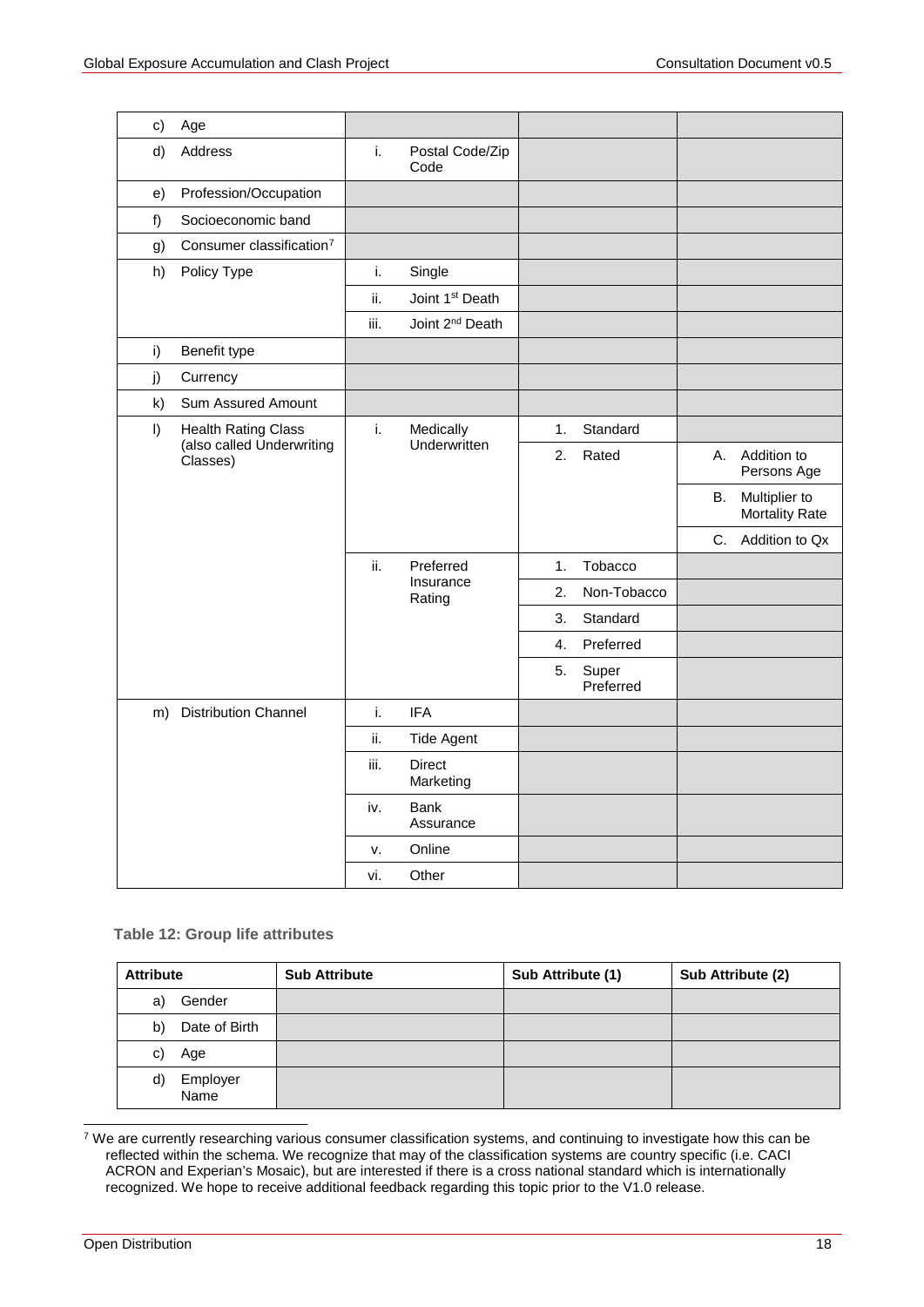| c)           | Age                                   |      |                             |    |                    |    |                                        |
|--------------|---------------------------------------|------|-----------------------------|----|--------------------|----|----------------------------------------|
| d)           | Address                               | i.   | Postal Code/Zip<br>Code     |    |                    |    |                                        |
| e)           | Profession/Occupation                 |      |                             |    |                    |    |                                        |
| f)           | Socioeconomic band                    |      |                             |    |                    |    |                                        |
| g)           | Consumer classification <sup>7</sup>  |      |                             |    |                    |    |                                        |
| h)           | Policy Type                           | i.   | Single                      |    |                    |    |                                        |
|              |                                       | ii.  | Joint 1 <sup>st</sup> Death |    |                    |    |                                        |
|              |                                       | iii. | Joint 2 <sup>nd</sup> Death |    |                    |    |                                        |
| i)           | Benefit type                          |      |                             |    |                    |    |                                        |
| j)           | Currency                              |      |                             |    |                    |    |                                        |
| $\mathsf{k}$ | Sum Assured Amount                    |      |                             |    |                    |    |                                        |
| $\vert$      | <b>Health Rating Class</b>            | i.   | Medically<br>Underwritten   | 1. | Standard           |    |                                        |
|              | (also called Underwriting<br>Classes) |      |                             | 2. | Rated              | А. | Addition to<br>Persons Age             |
|              |                                       |      |                             |    |                    | В. | Multiplier to<br><b>Mortality Rate</b> |
|              |                                       |      |                             |    |                    |    | C. Addition to Qx                      |
|              |                                       | ii.  | Preferred                   | 1. | Tobacco            |    |                                        |
|              |                                       |      | Insurance<br>Rating         | 2. | Non-Tobacco        |    |                                        |
|              |                                       |      |                             | 3. | Standard           |    |                                        |
|              |                                       |      |                             | 4. | Preferred          |    |                                        |
|              |                                       |      |                             | 5. | Super<br>Preferred |    |                                        |
|              | m) Distribution Channel               | i.   | <b>IFA</b>                  |    |                    |    |                                        |
|              |                                       | ii.  | <b>Tide Agent</b>           |    |                    |    |                                        |
|              |                                       | iii. | <b>Direct</b><br>Marketing  |    |                    |    |                                        |
|              |                                       | iv.  | <b>Bank</b><br>Assurance    |    |                    |    |                                        |
|              |                                       | ν.   | Online                      |    |                    |    |                                        |
|              |                                       | vi.  | Other                       |    |                    |    |                                        |

#### **Table 12: Group life attributes**

| <b>Attribute</b>       | <b>Sub Attribute</b> | Sub Attribute (1) | Sub Attribute (2) |
|------------------------|----------------------|-------------------|-------------------|
| Gender<br>a)           |                      |                   |                   |
| Date of Birth<br>b)    |                      |                   |                   |
| Age<br>C)              |                      |                   |                   |
| Employer<br>d)<br>Name |                      |                   |                   |

<span id="page-17-0"></span><sup>7</sup> We are currently researching various consumer classification systems, and continuing to investigate how this can be reflected within the schema. We recognize that may of the classification systems are country specific (i.e. CACI ACRON and Experian's Mosaic), but are interested if there is a cross national standard which is internationally recognized. We hope to receive additional feedback regarding this topic prior to the V1.0 release.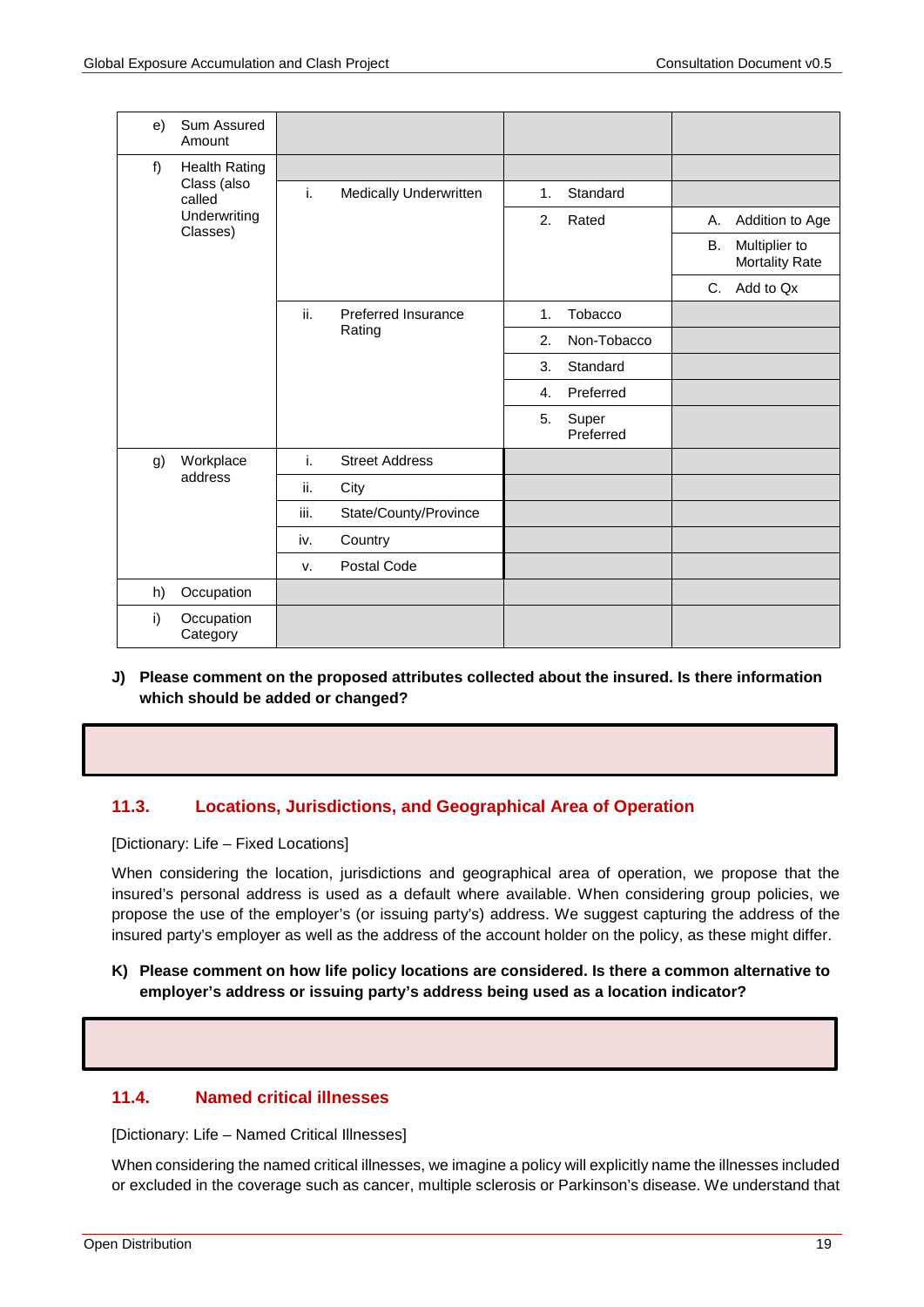| e) | Sum Assured<br>Amount    |        |                            |                    |           |                 |                                        |
|----|--------------------------|--------|----------------------------|--------------------|-----------|-----------------|----------------------------------------|
| f) | <b>Health Rating</b>     |        |                            |                    |           |                 |                                        |
|    | Class (also<br>called    | i.     | Medically Underwritten     | 1.                 | Standard  |                 |                                        |
|    | Underwriting<br>Classes) |        | 2.                         | Rated              | Α.        | Addition to Age |                                        |
|    |                          |        |                            |                    |           | В.              | Multiplier to<br><b>Mortality Rate</b> |
|    |                          |        |                            |                    |           | C.              | Add to Qx                              |
|    |                          | ii.    | <b>Preferred Insurance</b> | 1.                 | Tobacco   |                 |                                        |
|    |                          | Rating | 2.                         | Non-Tobacco        |           |                 |                                        |
|    |                          |        |                            | 3.                 | Standard  |                 |                                        |
|    |                          |        |                            | $\mathbf{4}$ .     | Preferred |                 |                                        |
|    |                          |        | 5.                         | Super<br>Preferred |           |                 |                                        |
| g) | Workplace                | i.     | <b>Street Address</b>      |                    |           |                 |                                        |
|    | address                  | ii.    | City                       |                    |           |                 |                                        |
|    |                          | iii.   | State/County/Province      |                    |           |                 |                                        |
|    |                          | iv.    | Country                    |                    |           |                 |                                        |
|    |                          | v.     | Postal Code                |                    |           |                 |                                        |
| h) | Occupation               |        |                            |                    |           |                 |                                        |
| i) | Occupation<br>Category   |        |                            |                    |           |                 |                                        |

**J) Please comment on the proposed attributes collected about the insured. Is there information which should be added or changed?**

## **11.3. Locations, Jurisdictions, and Geographical Area of Operation**

[Dictionary: Life – Fixed Locations]

When considering the location, jurisdictions and geographical area of operation, we propose that the insured's personal address is used as a default where available. When considering group policies, we propose the use of the employer's (or issuing party's) address. We suggest capturing the address of the insured party's employer as well as the address of the account holder on the policy, as these might differ.

#### **K) Please comment on how life policy locations are considered. Is there a common alternative to employer's address or issuing party's address being used as a location indicator?**

## **11.4. Named critical illnesses**

[Dictionary: Life – Named Critical Illnesses]

When considering the named critical illnesses, we imagine a policy will explicitly name the illnesses included or excluded in the coverage such as cancer, multiple sclerosis or Parkinson's disease. We understand that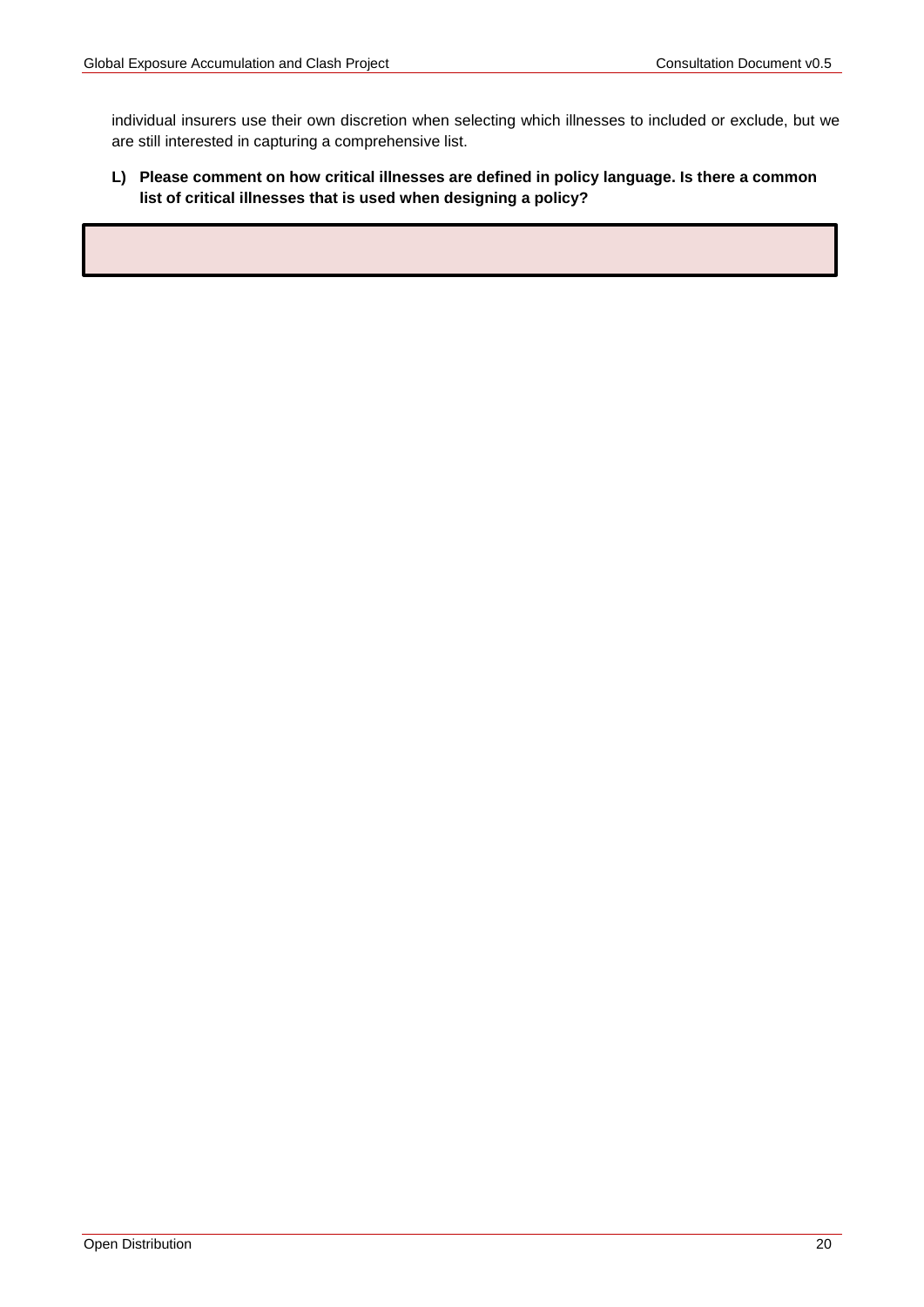individual insurers use their own discretion when selecting which illnesses to included or exclude, but we are still interested in capturing a comprehensive list.

## <span id="page-19-0"></span>**L) Please comment on how critical illnesses are defined in policy language. Is there a common list of critical illnesses that is used when designing a policy?**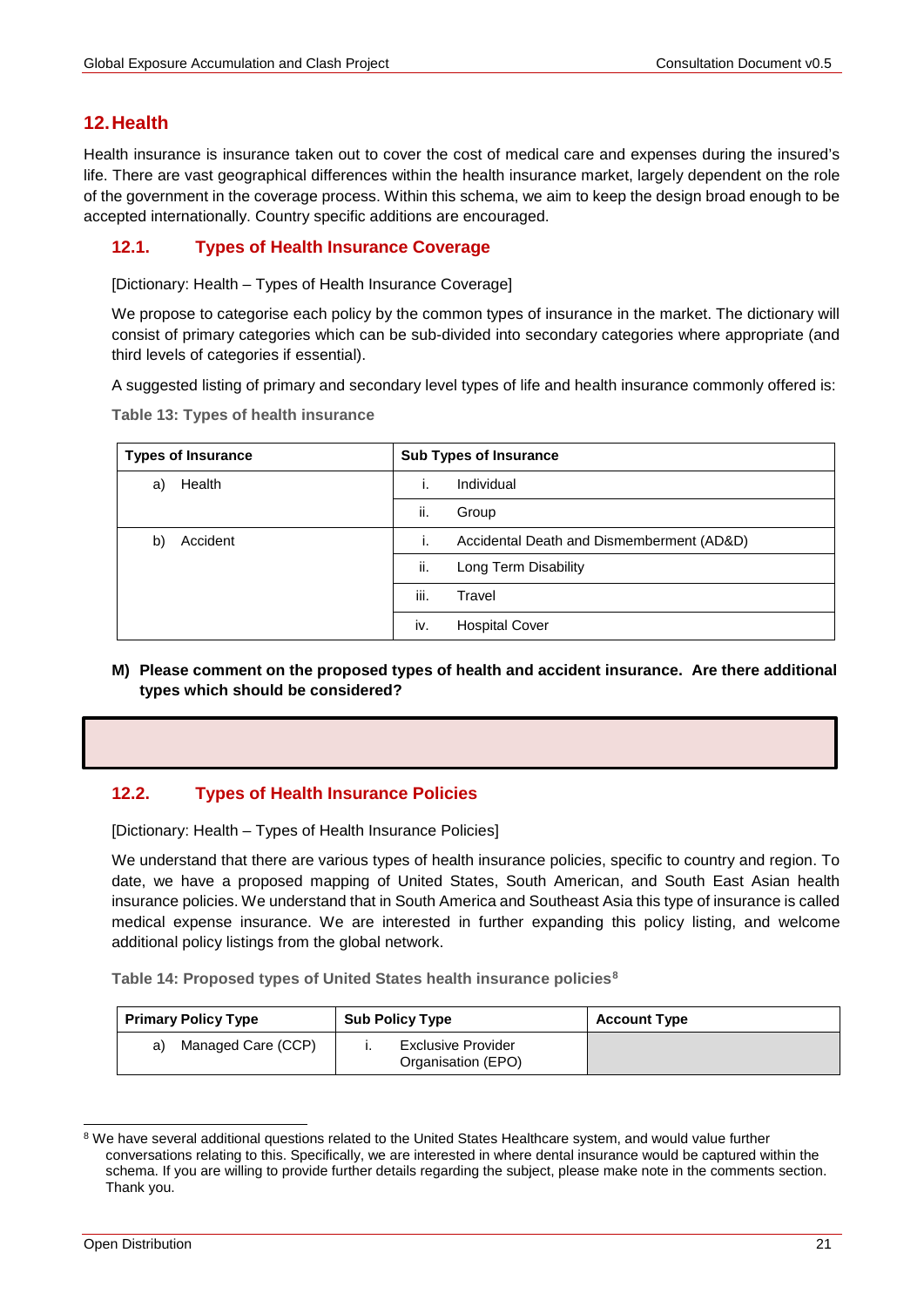# **12.Health**

Health insurance is insurance taken out to cover the cost of medical care and expenses during the insured's life. There are vast geographical differences within the health insurance market, largely dependent on the role of the government in the coverage process. Within this schema, we aim to keep the design broad enough to be accepted internationally. Country specific additions are encouraged.

## **12.1. Types of Health Insurance Coverage**

[Dictionary: Health – Types of Health Insurance Coverage]

We propose to categorise each policy by the common types of insurance in the market. The dictionary will consist of primary categories which can be sub-divided into secondary categories where appropriate (and third levels of categories if essential).

A suggested listing of primary and secondary level types of life and health insurance commonly offered is:

**Table 13: Types of health insurance**

| <b>Types of Insurance</b> |      | <b>Sub Types of Insurance</b>             |
|---------------------------|------|-------------------------------------------|
| Health<br>a)              |      | Individual                                |
|                           | ii.  | Group                                     |
| Accident<br>b)            |      | Accidental Death and Dismemberment (AD&D) |
|                           | ii.  | Long Term Disability                      |
|                           | iii. | Travel                                    |
|                           | iv.  | <b>Hospital Cover</b>                     |

**M) Please comment on the proposed types of health and accident insurance. Are there additional types which should be considered?**

## **12.2. Types of Health Insurance Policies**

[Dictionary: Health – Types of Health Insurance Policies]

We understand that there are various types of health insurance policies, specific to country and region. To date, we have a proposed mapping of United States, South American, and South East Asian health insurance policies. We understand that in South America and Southeast Asia this type of insurance is called medical expense insurance. We are interested in further expanding this policy listing, and welcome additional policy listings from the global network.

**Table 14: Proposed types of United States health insurance policies[8](#page-20-0)**

| <b>Primary Policy Type</b> | <b>Sub Policy Type</b>                   | <b>Account Type</b> |
|----------------------------|------------------------------------------|---------------------|
| Managed Care (CCP)<br>a)   | Exclusive Provider<br>Organisation (EPO) |                     |

<span id="page-20-0"></span><sup>&</sup>lt;sup>8</sup> We have several additional questions related to the United States Healthcare system, and would value further conversations relating to this. Specifically, we are interested in where dental insurance would be captured within the schema. If you are willing to provide further details regarding the subject, please make note in the comments section. Thank you.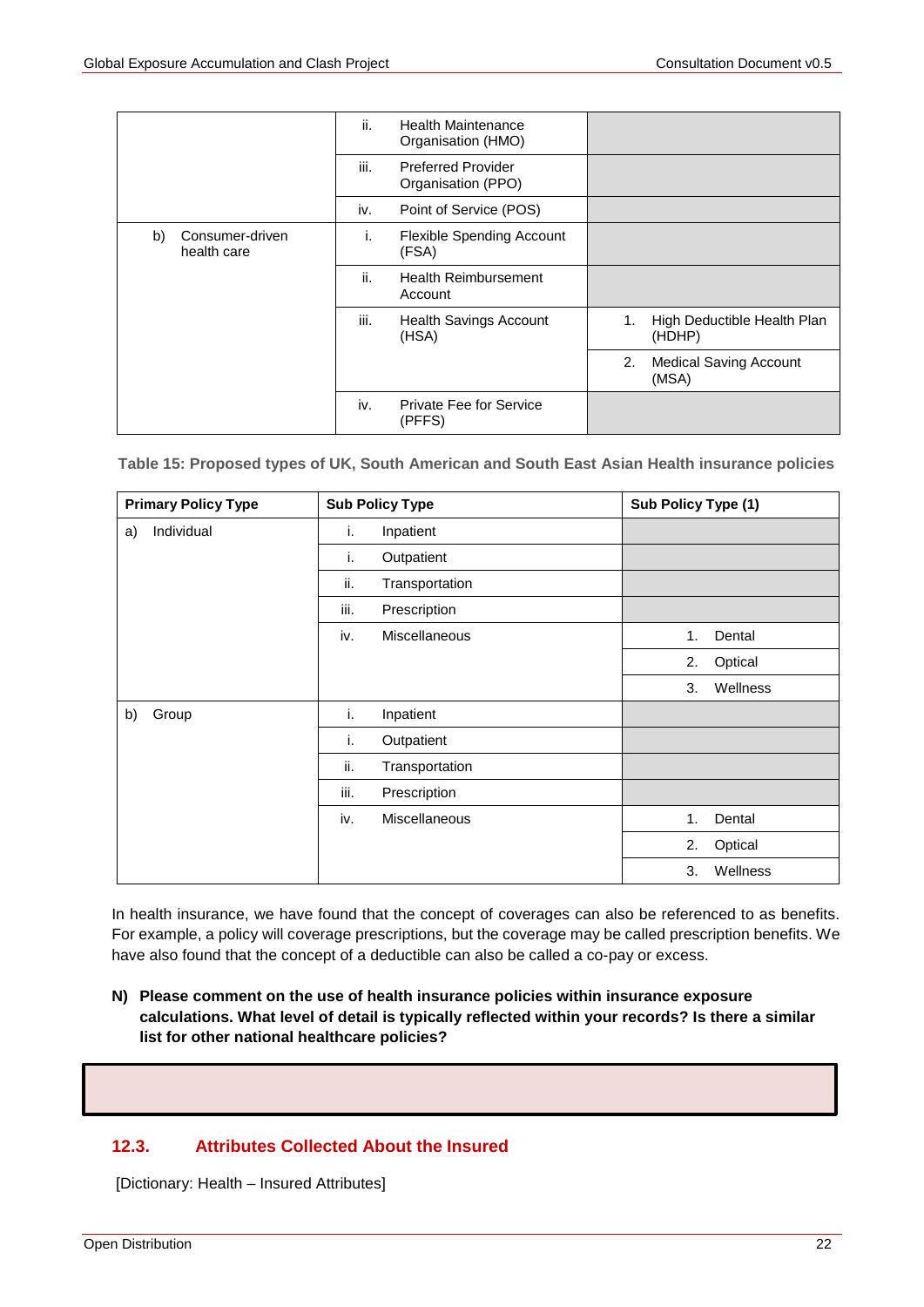|                                      | ii.<br><b>Health Maintenance</b><br>Organisation (HMO)  |                                              |
|--------------------------------------|---------------------------------------------------------|----------------------------------------------|
|                                      | iii.<br><b>Preferred Provider</b><br>Organisation (PPO) |                                              |
|                                      | iv.<br>Point of Service (POS)                           |                                              |
| Consumer-driven<br>b)<br>health care | <b>Flexible Spending Account</b><br>Ι.<br>(FSA)         |                                              |
|                                      | ii.<br><b>Health Reimbursement</b><br>Account           |                                              |
|                                      | iii.<br><b>Health Savings Account</b><br>(HSA)          | High Deductible Health Plan<br>1.<br>(HDHP)  |
|                                      |                                                         | 2.<br><b>Medical Saving Account</b><br>(MSA) |
|                                      | iv.<br>Private Fee for Service<br>(PFFS)                |                                              |

 **Table 15: Proposed types of UK, South American and South East Asian Health insurance policies**

| <b>Primary Policy Type</b> | <b>Sub Policy Type</b>      | Sub Policy Type (1) |
|----------------------------|-----------------------------|---------------------|
| Individual<br>a)           | Inpatient<br>i.             |                     |
|                            | i.<br>Outpatient            |                     |
|                            | ii.<br>Transportation       |                     |
|                            | iii.<br>Prescription        |                     |
|                            | <b>Miscellaneous</b><br>iv. | Dental<br>1.        |
|                            |                             | Optical<br>2.       |
|                            |                             | Wellness<br>3.      |
| Group<br>b)                | i.<br>Inpatient             |                     |
|                            | i.<br>Outpatient            |                     |
|                            | ii.<br>Transportation       |                     |
|                            | iii.<br>Prescription        |                     |
|                            | iv.<br><b>Miscellaneous</b> | Dental<br>1.        |
|                            |                             | 2.<br>Optical       |
|                            |                             | 3.<br>Wellness      |

In health insurance, we have found that the concept of coverages can also be referenced to as benefits. For example, a policy will coverage prescriptions, but the coverage may be called prescription benefits. We have also found that the concept of a deductible can also be called a co-pay or excess.

**N) Please comment on the use of health insurance policies within insurance exposure calculations. What level of detail is typically reflected within your records? Is there a similar list for other national healthcare policies?**

## **12.3. Attributes Collected About the Insured**

[Dictionary: Health – Insured Attributes]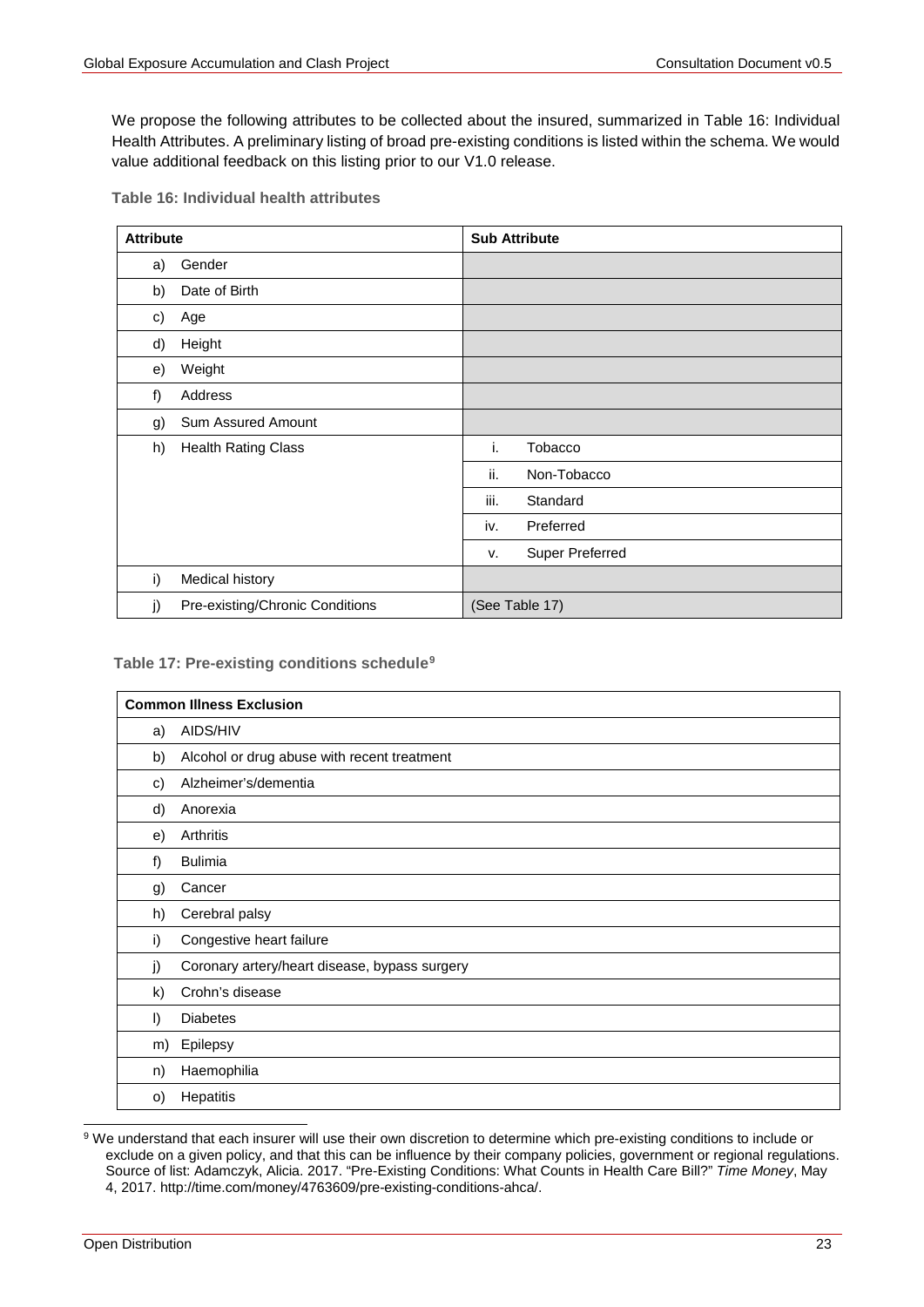We propose the following attributes to be collected about the insured, summarized in [Table 16: Individual](#page-22-0)  [Health Attributes.](#page-22-0) A preliminary listing of broad pre-existing conditions is listed within the schema. We would value additional feedback on this listing prior to our V1.0 release.

<span id="page-22-0"></span>

|  | Table 16: Individual health attributes |  |  |
|--|----------------------------------------|--|--|
|--|----------------------------------------|--|--|

| <b>Attribute</b> |                                 | <b>Sub Attribute</b>  |
|------------------|---------------------------------|-----------------------|
| a)               | Gender                          |                       |
| b)               | Date of Birth                   |                       |
| c)               | Age                             |                       |
| d)               | Height                          |                       |
| e)               | Weight                          |                       |
| f)               | Address                         |                       |
| g)               | Sum Assured Amount              |                       |
| h)               | <b>Health Rating Class</b>      | i.<br><b>Tobacco</b>  |
|                  |                                 | ii.<br>Non-Tobacco    |
|                  |                                 | iii.<br>Standard      |
|                  |                                 | Preferred<br>iv.      |
|                  |                                 | Super Preferred<br>v. |
| i)               | Medical history                 |                       |
| j)               | Pre-existing/Chronic Conditions | (See Table 17)        |

#### **Table 17: Pre-existing conditions schedule[9](#page-22-1)**

|              | <b>Common Illness Exclusion</b>               |
|--------------|-----------------------------------------------|
| a)           | AIDS/HIV                                      |
| b)           | Alcohol or drug abuse with recent treatment   |
| c)           | Alzheimer's/dementia                          |
| d)           | Anorexia                                      |
| e)           | Arthritis                                     |
| f)           | <b>Bulimia</b>                                |
| g)           | Cancer                                        |
| h)           | Cerebral palsy                                |
| i)           | Congestive heart failure                      |
| j)           | Coronary artery/heart disease, bypass surgery |
| $\mathsf{k}$ | Crohn's disease                               |
| I)           | <b>Diabetes</b>                               |
| m)           | Epilepsy                                      |
| n)           | Haemophilia                                   |
| $\circ)$     | Hepatitis                                     |

<span id="page-22-1"></span>9 We understand that each insurer will use their own discretion to determine which pre-existing conditions to include or exclude on a given policy, and that this can be influence by their company policies, government or regional regulations. Source of list: Adamczyk, Alicia. 2017. "Pre-Existing Conditions: What Counts in Health Care Bill?" *Time Money*, May 4, 2017. http://time.com/money/4763609/pre-existing-conditions-ahca/.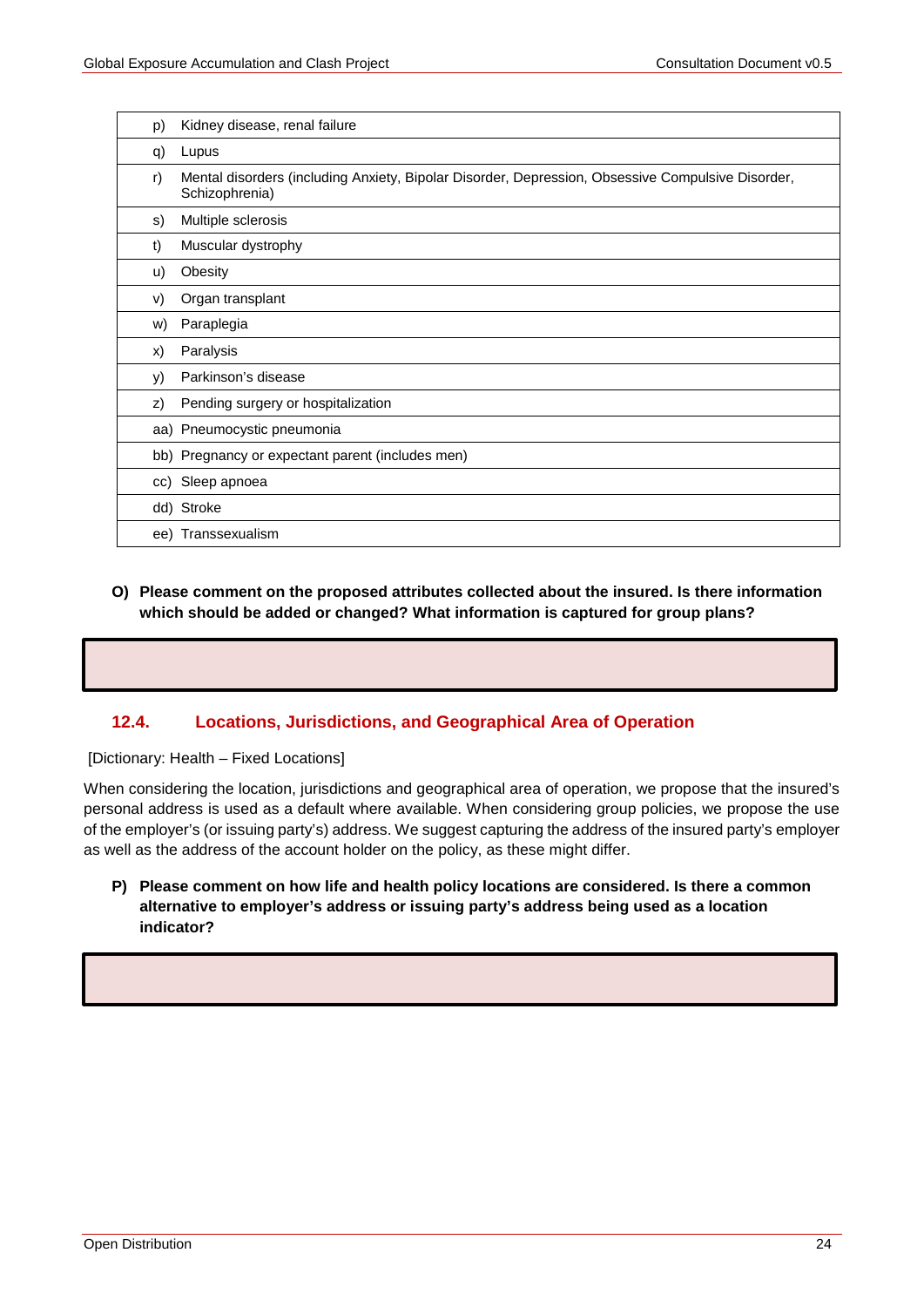| p) | Kidney disease, renal failure                                                                                       |
|----|---------------------------------------------------------------------------------------------------------------------|
| q) | Lupus                                                                                                               |
| r) | Mental disorders (including Anxiety, Bipolar Disorder, Depression, Obsessive Compulsive Disorder,<br>Schizophrenia) |
| S) | Multiple sclerosis                                                                                                  |
| t) | Muscular dystrophy                                                                                                  |
| u) | Obesity                                                                                                             |
| V) | Organ transplant                                                                                                    |
| w) | Paraplegia                                                                                                          |
| X) | Paralysis                                                                                                           |
| y) | Parkinson's disease                                                                                                 |
| z) | Pending surgery or hospitalization                                                                                  |
|    | aa) Pneumocystic pneumonia                                                                                          |
|    | bb) Pregnancy or expectant parent (includes men)                                                                    |
|    | cc) Sleep apnoea                                                                                                    |
|    | dd) Stroke                                                                                                          |
|    | ee) Transsexualism                                                                                                  |

## **O) Please comment on the proposed attributes collected about the insured. Is there information which should be added or changed? What information is captured for group plans?**

## **12.4. Locations, Jurisdictions, and Geographical Area of Operation**

[Dictionary: Health – Fixed Locations]

When considering the location, jurisdictions and geographical area of operation, we propose that the insured's personal address is used as a default where available. When considering group policies, we propose the use of the employer's (or issuing party's) address. We suggest capturing the address of the insured party's employer as well as the address of the account holder on the policy, as these might differ.

<span id="page-23-0"></span>**P) Please comment on how life and health policy locations are considered. Is there a common alternative to employer's address or issuing party's address being used as a location indicator?**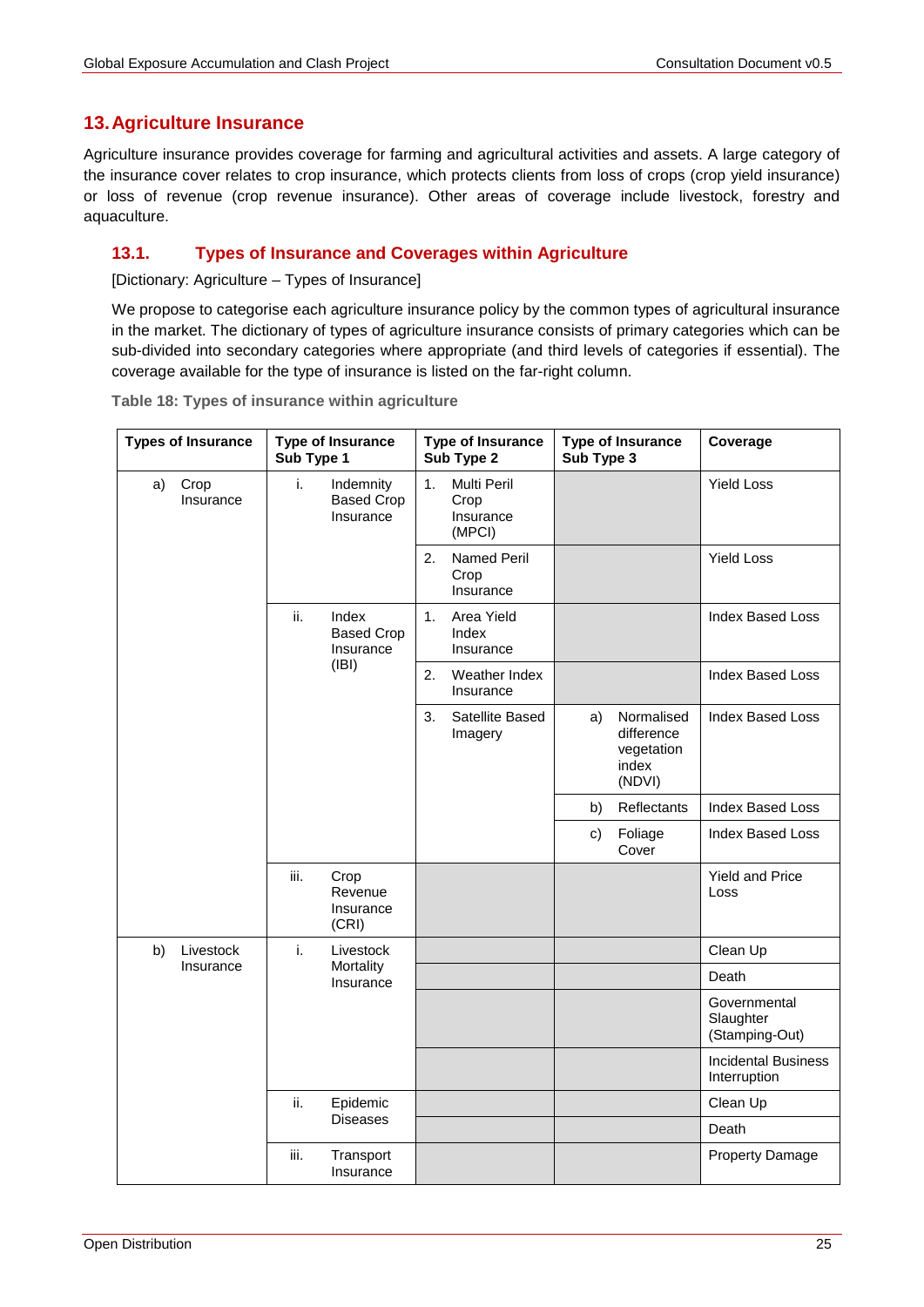**Coverage**

# **13.Agriculture Insurance**

Agriculture insurance provides coverage for farming and agricultural activities and assets. A large category of the insurance cover relates to crop insurance, which protects clients from loss of crops (crop yield insurance) or loss of revenue (crop revenue insurance). Other areas of coverage include livestock, forestry and aquaculture.

## **13.1. Types of Insurance and Coverages within Agriculture**

[Dictionary: Agriculture – Types of Insurance]

We propose to categorise each agriculture insurance policy by the common types of agricultural insurance in the market. The dictionary of types of agriculture insurance consists of primary categories which can be sub-divided into secondary categories where appropriate (and third levels of categories if essential). The coverage available for the type of insurance is listed on the far-right column.

| <b>Types of Insurance</b> | <b>Type of Insurance</b><br>Sub Type 1            | <b>Type of Insurance</b><br>Sub Type 2     | <b>Type of Insurance</b><br>Sub Type 3 |  |  |
|---------------------------|---------------------------------------------------|--------------------------------------------|----------------------------------------|--|--|
| Crop<br>a)<br>Insurance   | Indemnity<br>Τ.<br><b>Based Crop</b><br>Insurance | Multi Peril<br>Crop<br>Insurance<br>(MPCI) |                                        |  |  |
|                           |                                                   | Named Peril<br>2.<br>Crop<br>Insurance     |                                        |  |  |
|                           |                                                   |                                            |                                        |  |  |

**Table 18: Types of insurance within agriculture**

| Crop<br>a)<br>Insurance | i.   | Indemnity<br><b>Based Crop</b><br>Insurance | 1. | Multi Peril<br>Crop<br>Insurance<br>(MPCI) |    |                                                           | <b>Yield Loss</b>                           |
|-------------------------|------|---------------------------------------------|----|--------------------------------------------|----|-----------------------------------------------------------|---------------------------------------------|
|                         |      |                                             | 2. | <b>Named Peril</b><br>Crop<br>Insurance    |    |                                                           | <b>Yield Loss</b>                           |
|                         | ii.  | Index<br><b>Based Crop</b><br>Insurance     | 1. | Area Yield<br>Index<br>Insurance           |    |                                                           | <b>Index Based Loss</b>                     |
|                         |      | (IBI)                                       | 2. | Weather Index<br>Insurance                 |    |                                                           | <b>Index Based Loss</b>                     |
|                         |      |                                             | 3. | Satellite Based<br>Imagery                 | a) | Normalised<br>difference<br>vegetation<br>index<br>(NDVI) | <b>Index Based Loss</b>                     |
|                         |      |                                             |    |                                            | b) | Reflectants                                               | <b>Index Based Loss</b>                     |
|                         |      |                                             |    |                                            | c) | Foliage<br>Cover                                          | <b>Index Based Loss</b>                     |
|                         | iii. | Crop<br>Revenue<br>Insurance<br>(CRI)       |    |                                            |    |                                                           | <b>Yield and Price</b><br>Loss              |
| Livestock<br>b)         | i.   | Livestock                                   |    |                                            |    |                                                           | Clean Up                                    |
| Insurance               |      | Mortality<br>Insurance                      |    |                                            |    |                                                           | Death                                       |
|                         |      |                                             |    |                                            |    |                                                           | Governmental<br>Slaughter<br>(Stamping-Out) |
|                         |      |                                             |    |                                            |    |                                                           | <b>Incidental Business</b><br>Interruption  |
|                         | ii.  | Epidemic                                    |    |                                            |    |                                                           | Clean Up                                    |
|                         |      | <b>Diseases</b>                             |    |                                            |    |                                                           | Death                                       |
|                         | iii. | Transport<br>Insurance                      |    |                                            |    |                                                           | <b>Property Damage</b>                      |
|                         |      |                                             |    |                                            |    |                                                           |                                             |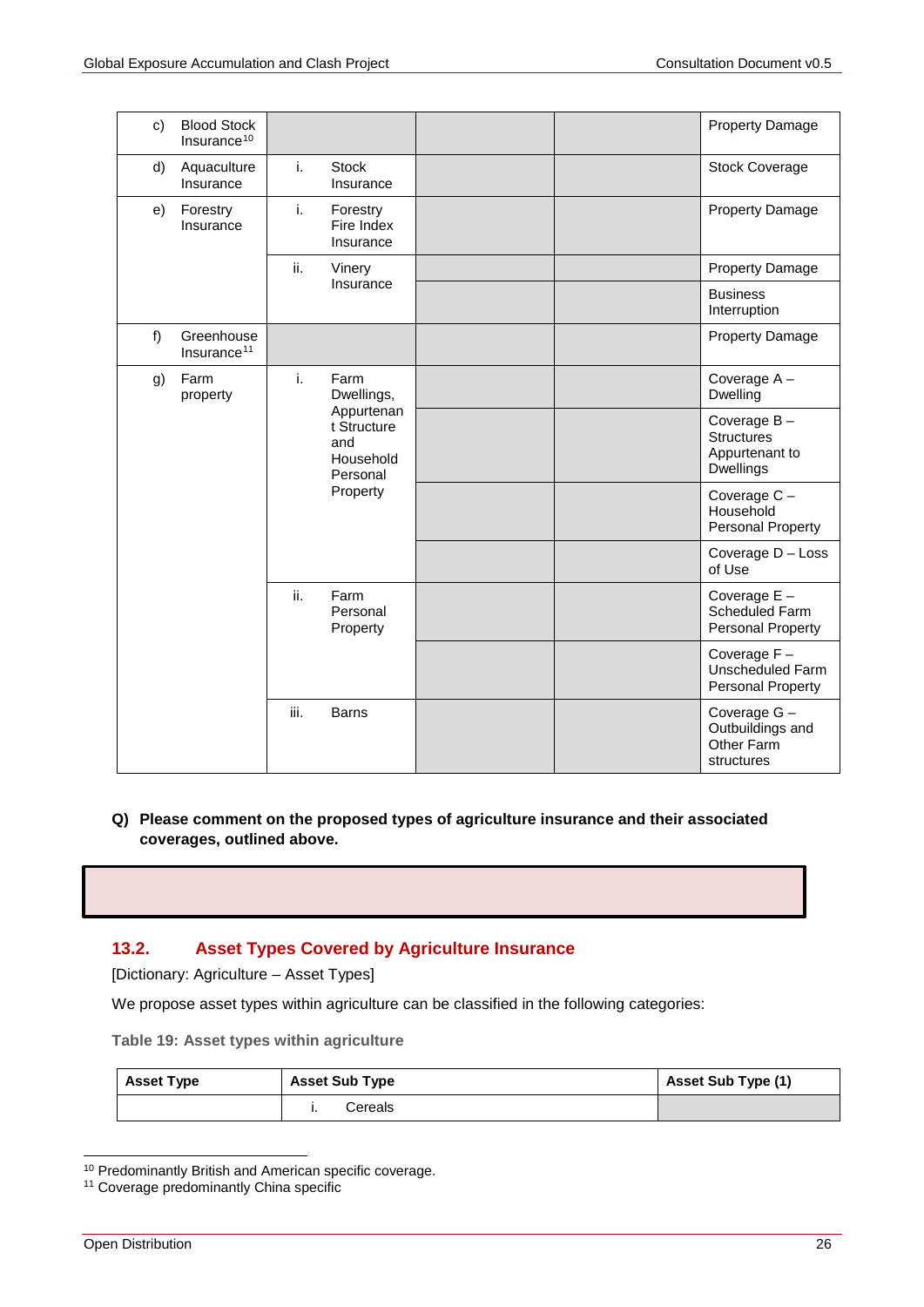| C) | <b>Blood Stock</b><br>Insurance <sup>10</sup> |                                               |                                     |  | <b>Property Damage</b>                                             |
|----|-----------------------------------------------|-----------------------------------------------|-------------------------------------|--|--------------------------------------------------------------------|
| d) | Aquaculture<br>Insurance                      | i.                                            | <b>Stock</b><br>Insurance           |  | <b>Stock Coverage</b>                                              |
| e) | Forestry<br>Insurance                         | i.                                            | Forestry<br>Fire Index<br>Insurance |  | Property Damage                                                    |
|    |                                               | ii.                                           | Vinery                              |  | <b>Property Damage</b>                                             |
|    |                                               |                                               | Insurance                           |  | <b>Business</b><br>Interruption                                    |
| f) | Greenhouse<br>Insurance <sup>11</sup>         |                                               |                                     |  | <b>Property Damage</b>                                             |
| g) | Farm<br>property                              | i.                                            | Farm<br>Dwellings,                  |  | Coverage A-<br>Dwelling                                            |
|    |                                               | Appurtenan<br>t Structure<br>and<br>Household | Personal                            |  | Coverage $B -$<br><b>Structures</b><br>Appurtenant to<br>Dwellings |
|    |                                               |                                               | Property                            |  | Coverage C-<br>Household<br>Personal Property                      |
|    |                                               |                                               |                                     |  | Coverage D - Loss<br>of Use                                        |
|    |                                               | ii.                                           | Farm<br>Personal<br>Property        |  | Coverage $E -$<br>Scheduled Farm<br>Personal Property              |
|    |                                               |                                               |                                     |  | Coverage F-<br><b>Unscheduled Farm</b><br>Personal Property        |
|    |                                               | iii.                                          | <b>Barns</b>                        |  | Coverage G-<br>Outbuildings and<br>Other Farm<br>structures        |

## **Q) Please comment on the proposed types of agriculture insurance and their associated coverages, outlined above.**

## **13.2. Asset Types Covered by Agriculture Insurance**

[Dictionary: Agriculture – Asset Types]

We propose asset types within agriculture can be classified in the following categories:

**Table 19: Asset types within agriculture**

| <b>Asset Type</b> | <b>Asset Sub Type</b> | Asset Sub Type (1) |
|-------------------|-----------------------|--------------------|
|                   | Cereals               |                    |

<span id="page-25-0"></span> <sup>10</sup> Predominantly British and American specific coverage.

<span id="page-25-1"></span><sup>&</sup>lt;sup>11</sup> Coverage predominantly China specific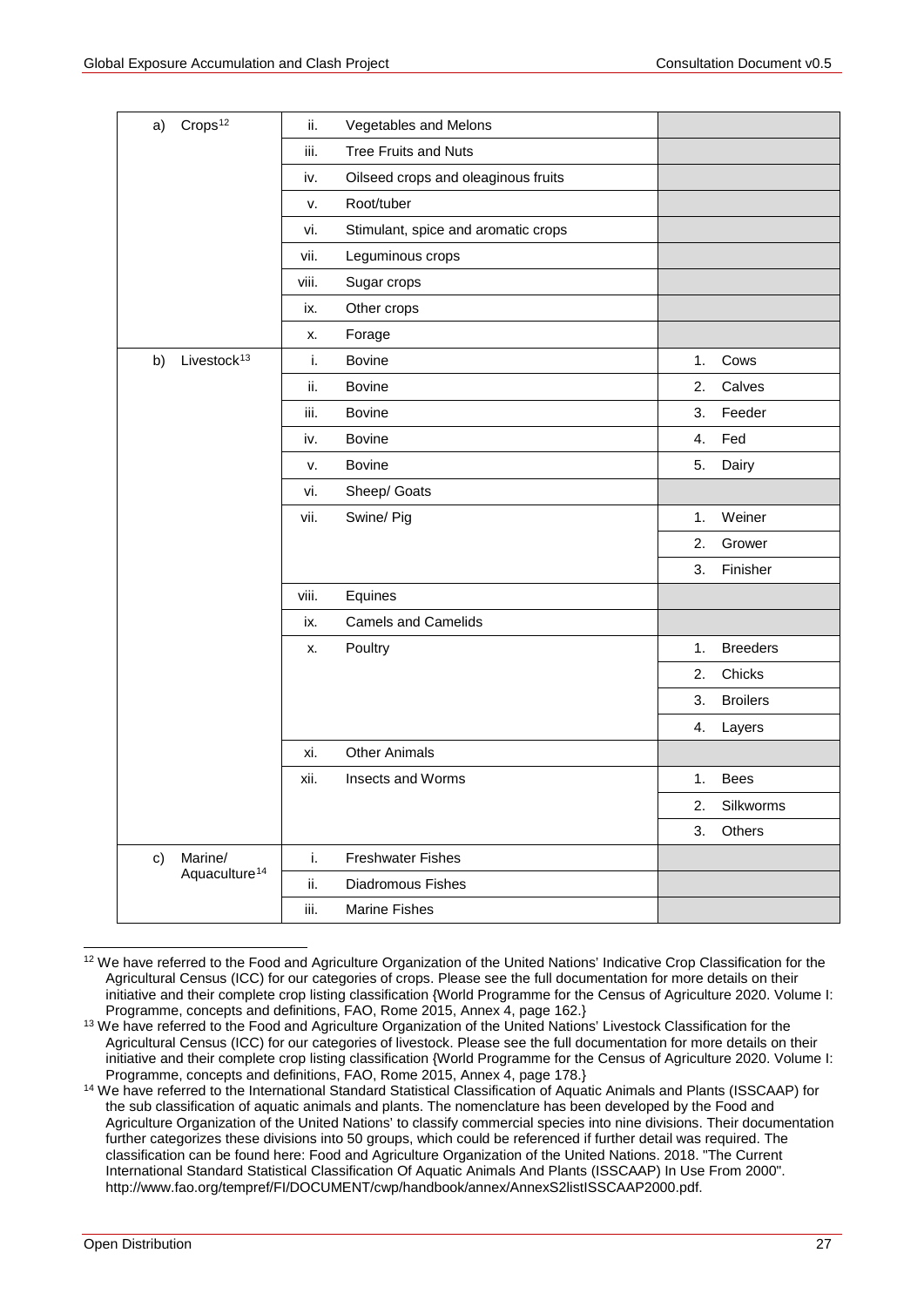| Crops <sup>12</sup><br>a)     | Vegetables and Melons<br>ii.               |                       |
|-------------------------------|--------------------------------------------|-----------------------|
|                               | iii.<br><b>Tree Fruits and Nuts</b>        |                       |
|                               | Oilseed crops and oleaginous fruits<br>iv. |                       |
|                               | Root/tuber<br>v.                           |                       |
|                               | Stimulant, spice and aromatic crops<br>vi. |                       |
|                               | Leguminous crops<br>vii.                   |                       |
|                               | viii.<br>Sugar crops                       |                       |
|                               | Other crops<br>ix.                         |                       |
|                               | Forage<br>Х.                               |                       |
| Livestock <sup>13</sup><br>b) | i.<br><b>Bovine</b>                        | Cows<br>1.            |
|                               | ii.<br><b>Bovine</b>                       | 2.<br>Calves          |
|                               | iii.<br><b>Bovine</b>                      | 3.<br>Feeder          |
|                               | <b>Bovine</b><br>iv.                       | 4.<br>Fed             |
|                               | <b>Bovine</b><br>v.                        | 5.<br>Dairy           |
|                               | Sheep/ Goats<br>vi.                        |                       |
|                               | vii.<br>Swine/ Pig                         | Weiner<br>1.          |
|                               |                                            | 2.<br>Grower          |
|                               |                                            | 3.<br>Finisher        |
|                               | viii.<br>Equines                           |                       |
|                               | <b>Camels and Camelids</b><br>ix.          |                       |
|                               | Poultry<br>x.                              | <b>Breeders</b><br>1. |
|                               |                                            | 2.<br>Chicks          |
|                               |                                            | <b>Broilers</b><br>3. |
|                               |                                            | 4.<br>Layers          |
|                               | <b>Other Animals</b><br>xi.                |                       |
|                               | xii.<br>Insects and Worms                  | 1.<br><b>Bees</b>     |
|                               |                                            | 2.<br>Silkworms       |
|                               |                                            | 3.<br>Others          |
| Marine/<br>c)                 | i.<br><b>Freshwater Fishes</b>             |                       |
| Aquaculture <sup>14</sup>     | ii.<br>Diadromous Fishes                   |                       |
|                               | iii.<br><b>Marine Fishes</b>               |                       |

<span id="page-26-0"></span><sup>&</sup>lt;sup>12</sup> We have referred to the Food and Agriculture Organization of the United Nations' Indicative Crop Classification for the Agricultural Census (ICC) for our categories of crops. Please see the full documentation for more details on their initiative and their complete crop listing classification {World Programme for the Census of Agriculture 2020. Volume I: Programme, concepts and definitions, FAO, Rome 2015, Annex 4, page 162.}

<span id="page-26-1"></span><sup>&</sup>lt;sup>13</sup> We have referred to the Food and Agriculture Organization of the United Nations' Livestock Classification for the Agricultural Census (ICC) for our categories of livestock. Please see the full documentation for more details on their initiative and their complete crop listing classification {World Programme for the Census of Agriculture 2020. Volume I: Programme, concepts and definitions, FAO, Rome 2015, Annex 4, page 178.}

<span id="page-26-2"></span><sup>&</sup>lt;sup>14</sup> We have referred to the International Standard Statistical Classification of Aquatic Animals and Plants (ISSCAAP) for the sub classification of aquatic animals and plants. The nomenclature has been developed by the Food and Agriculture Organization of the United Nations' to classify commercial species into nine divisions. Their documentation further categorizes these divisions into 50 groups, which could be referenced if further detail was required. The classification can be found here: Food and Agriculture Organization of the United Nations. 2018. "The Current International Standard Statistical Classification Of Aquatic Animals And Plants (ISSCAAP) In Use From 2000". http://www.fao.org/tempref/FI/DOCUMENT/cwp/handbook/annex/AnnexS2listISSCAAP2000.pdf.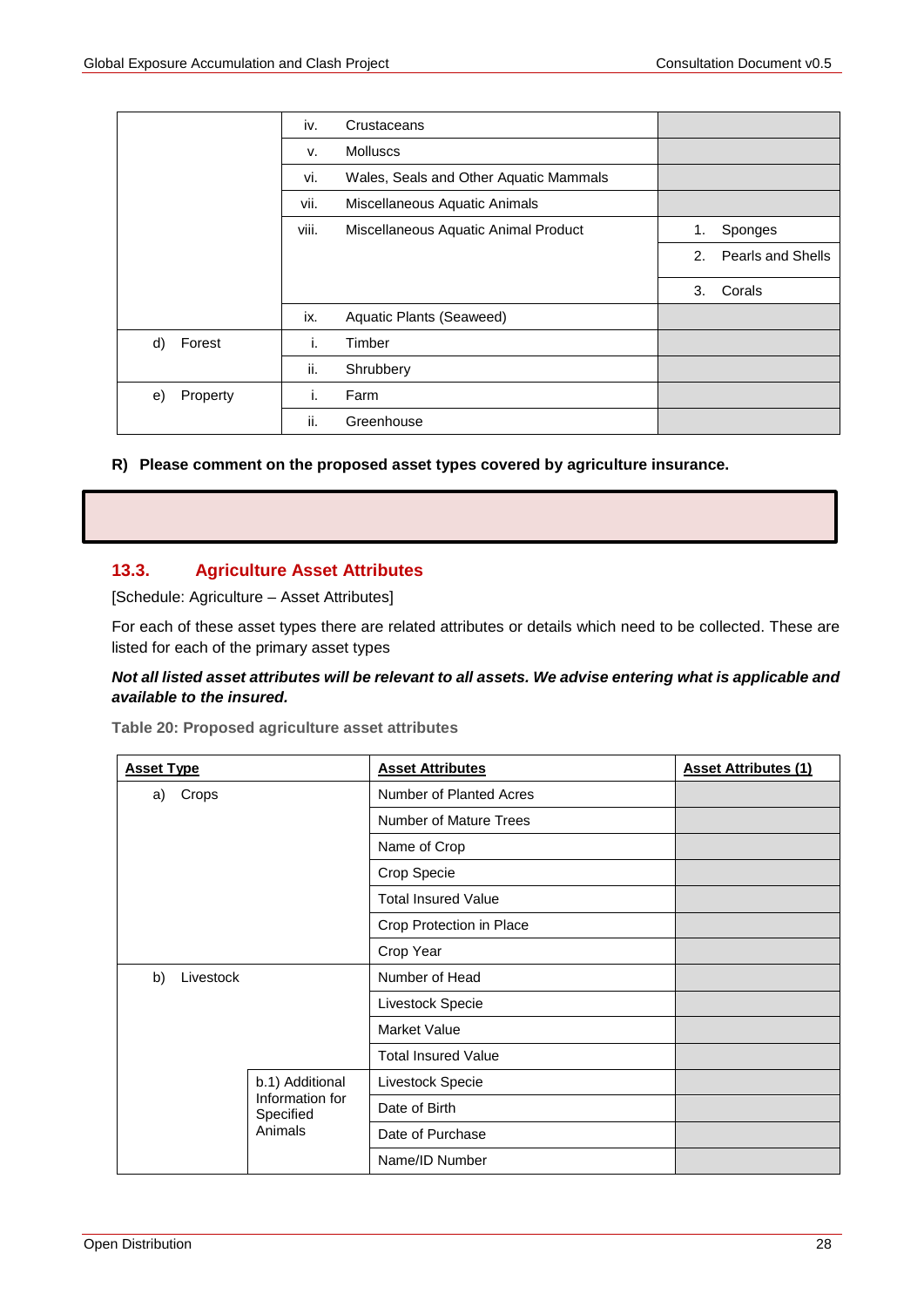|                | iv.   | Crustaceans                            |    |                   |
|----------------|-------|----------------------------------------|----|-------------------|
|                | v.    | <b>Molluscs</b>                        |    |                   |
|                | vi.   | Wales, Seals and Other Aquatic Mammals |    |                   |
|                | vii.  | Miscellaneous Aquatic Animals          |    |                   |
|                | viii. | Miscellaneous Aquatic Animal Product   | 1. | Sponges           |
|                |       |                                        | 2. | Pearls and Shells |
|                |       |                                        | 3. | Corals            |
|                | ix.   | Aquatic Plants (Seaweed)               |    |                   |
| Forest<br>d)   | i.    | Timber                                 |    |                   |
|                | ii.   | Shrubbery                              |    |                   |
| Property<br>e) | i.    | Farm                                   |    |                   |
|                | ii.   | Greenhouse                             |    |                   |

**R) Please comment on the proposed asset types covered by agriculture insurance.** 

# **13.3. Agriculture Asset Attributes**

[Schedule: Agriculture – Asset Attributes]

For each of these asset types there are related attributes or details which need to be collected. These are listed for each of the primary asset types

## *Not all listed asset attributes will be relevant to all assets. We advise entering what is applicable and available to the insured.*

**Table 20: Proposed agriculture asset attributes**

| <b>Asset Type</b> |                                         | <b>Asset Attributes</b>    | <b>Asset Attributes (1)</b> |
|-------------------|-----------------------------------------|----------------------------|-----------------------------|
| Crops<br>a)       |                                         | Number of Planted Acres    |                             |
|                   |                                         | Number of Mature Trees     |                             |
|                   |                                         | Name of Crop               |                             |
|                   |                                         | Crop Specie                |                             |
|                   |                                         | <b>Total Insured Value</b> |                             |
|                   |                                         | Crop Protection in Place   |                             |
|                   |                                         | Crop Year                  |                             |
| Livestock<br>b)   |                                         | Number of Head             |                             |
|                   |                                         | Livestock Specie           |                             |
|                   |                                         | <b>Market Value</b>        |                             |
|                   |                                         | <b>Total Insured Value</b> |                             |
|                   | b.1) Additional                         | Livestock Specie           |                             |
|                   | Information for<br>Specified<br>Animals | Date of Birth              |                             |
|                   |                                         | Date of Purchase           |                             |
|                   |                                         | Name/ID Number             |                             |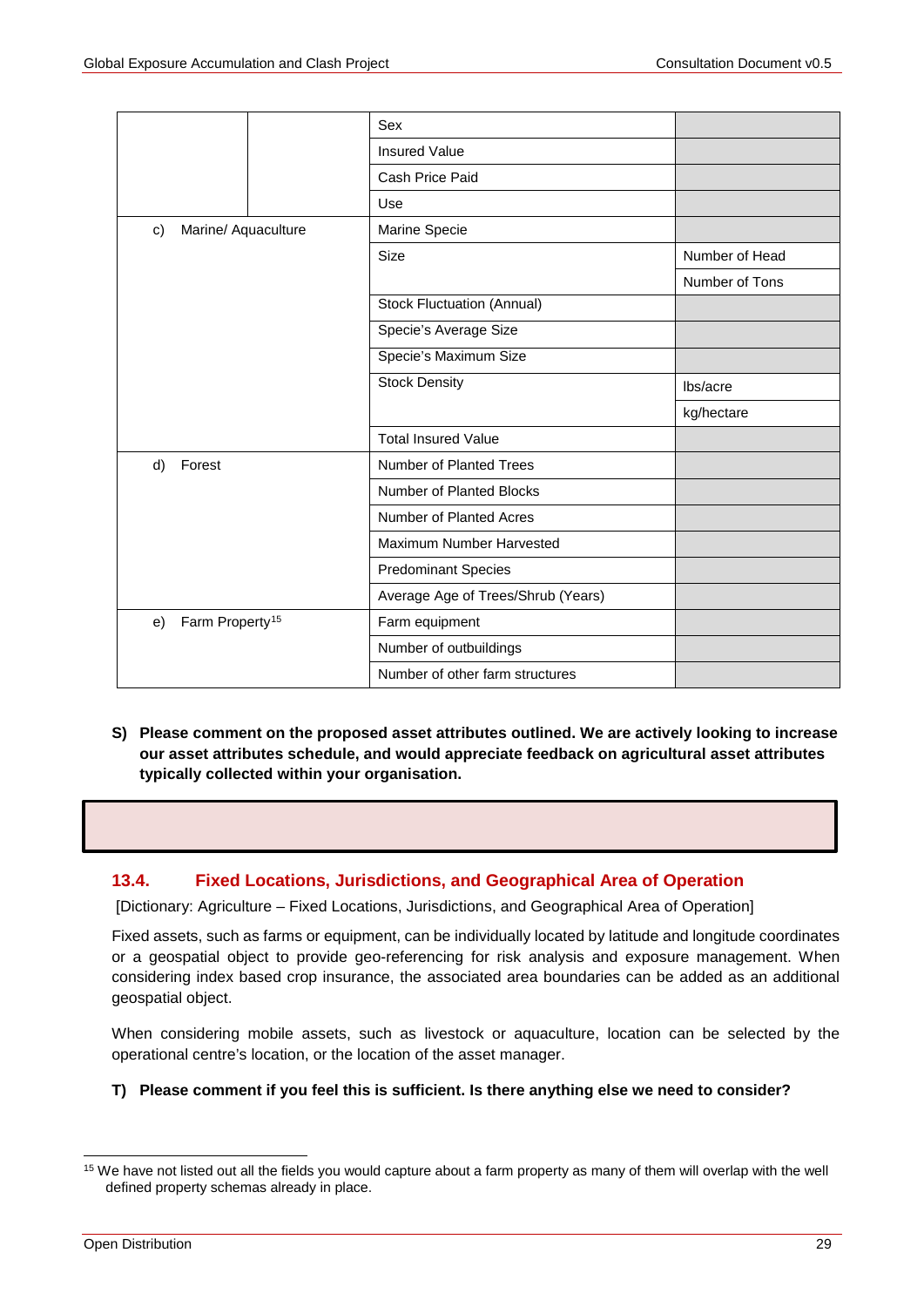|                                   |  | Sex                                |                |
|-----------------------------------|--|------------------------------------|----------------|
|                                   |  | <b>Insured Value</b>               |                |
|                                   |  | Cash Price Paid                    |                |
|                                   |  | Use                                |                |
| Marine/ Aquaculture<br>c)         |  | Marine Specie                      |                |
|                                   |  | Size                               | Number of Head |
|                                   |  |                                    | Number of Tons |
|                                   |  | Stock Fluctuation (Annual)         |                |
|                                   |  | Specie's Average Size              |                |
|                                   |  | Specie's Maximum Size              |                |
|                                   |  | <b>Stock Density</b>               | lbs/acre       |
|                                   |  |                                    | kg/hectare     |
|                                   |  | <b>Total Insured Value</b>         |                |
| Forest<br>d)                      |  | <b>Number of Planted Trees</b>     |                |
|                                   |  | Number of Planted Blocks           |                |
|                                   |  | Number of Planted Acres            |                |
|                                   |  | Maximum Number Harvested           |                |
|                                   |  | <b>Predominant Species</b>         |                |
|                                   |  | Average Age of Trees/Shrub (Years) |                |
| Farm Property <sup>15</sup><br>e) |  | Farm equipment                     |                |
|                                   |  | Number of outbuildings             |                |
|                                   |  | Number of other farm structures    |                |

**S) Please comment on the proposed asset attributes outlined. We are actively looking to increase our asset attributes schedule, and would appreciate feedback on agricultural asset attributes typically collected within your organisation.** 

## **13.4. Fixed Locations, Jurisdictions, and Geographical Area of Operation**

[Dictionary: Agriculture – Fixed Locations, Jurisdictions, and Geographical Area of Operation]

Fixed assets, such as farms or equipment, can be individually located by latitude and longitude coordinates or a geospatial object to provide geo-referencing for risk analysis and exposure management. When considering index based crop insurance, the associated area boundaries can be added as an additional geospatial object.

When considering mobile assets, such as livestock or aquaculture, location can be selected by the operational centre's location, or the location of the asset manager.

#### **T) Please comment if you feel this is sufficient. Is there anything else we need to consider?**

<span id="page-28-0"></span><sup>&</sup>lt;sup>15</sup> We have not listed out all the fields you would capture about a farm property as many of them will overlap with the well defined property schemas already in place.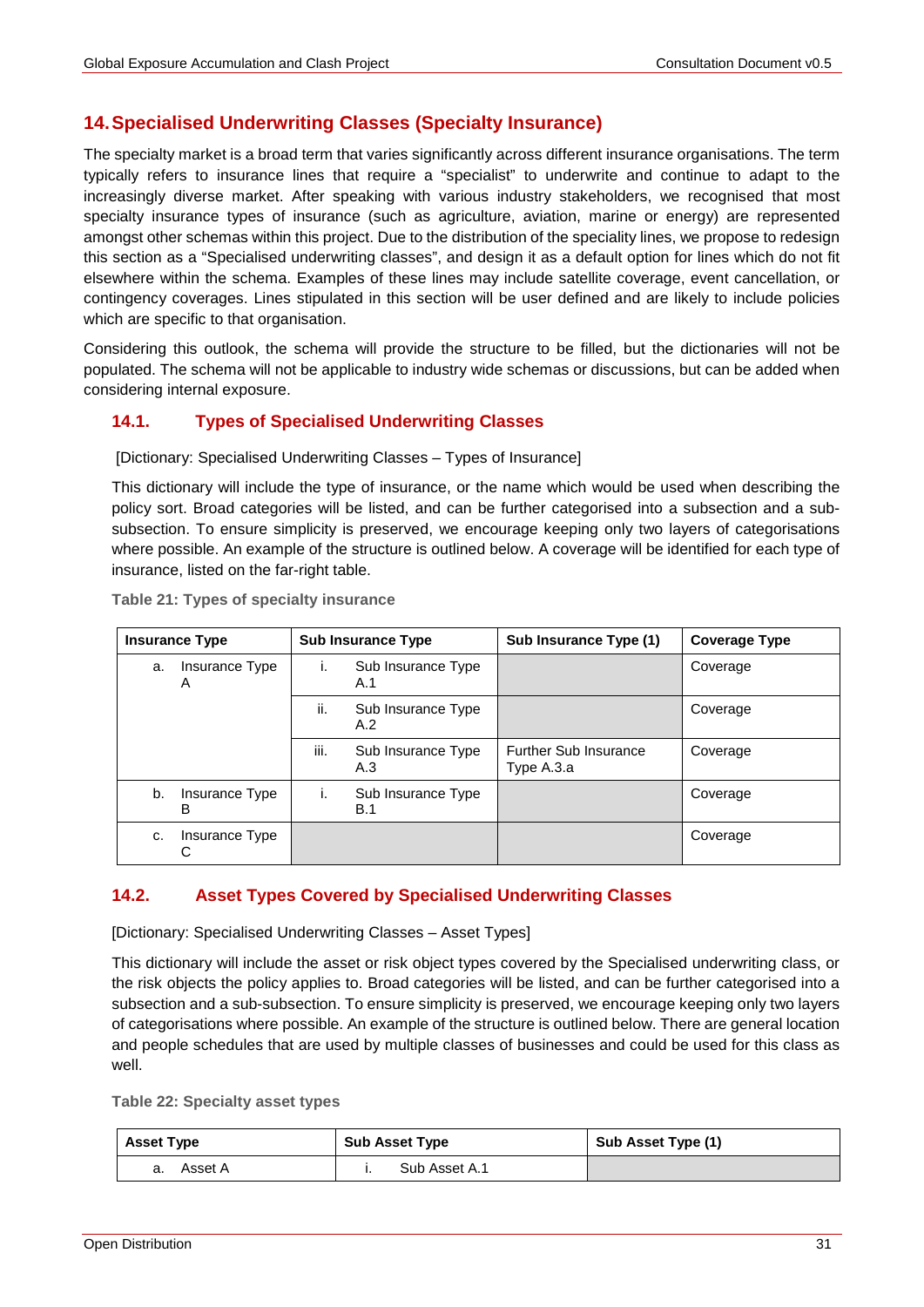# **14.Specialised Underwriting Classes (Specialty Insurance)**

The specialty market is a broad term that varies significantly across different insurance organisations. The term typically refers to insurance lines that require a "specialist" to underwrite and continue to adapt to the increasingly diverse market. After speaking with various industry stakeholders, we recognised that most specialty insurance types of insurance (such as agriculture, aviation, marine or energy) are represented amongst other schemas within this project. Due to the distribution of the speciality lines, we propose to redesign this section as a "Specialised underwriting classes", and design it as a default option for lines which do not fit elsewhere within the schema. Examples of these lines may include satellite coverage, event cancellation, or contingency coverages. Lines stipulated in this section will be user defined and are likely to include policies which are specific to that organisation.

Considering this outlook, the schema will provide the structure to be filled, but the dictionaries will not be populated. The schema will not be applicable to industry wide schemas or discussions, but can be added when considering internal exposure.

## **14.1. Types of Specialised Underwriting Classes**

[Dictionary: Specialised Underwriting Classes – Types of Insurance]

This dictionary will include the type of insurance, or the name which would be used when describing the policy sort. Broad categories will be listed, and can be further categorised into a subsection and a subsubsection. To ensure simplicity is preserved, we encourage keeping only two layers of categorisations where possible. An example of the structure is outlined below. A coverage will be identified for each type of insurance, listed on the far-right table.

| <b>Insurance Type</b> |                     | <b>Sub Insurance Type</b> |                           | Sub Insurance Type (1)                     | <b>Coverage Type</b> |
|-----------------------|---------------------|---------------------------|---------------------------|--------------------------------------------|----------------------|
| a.                    | Insurance Type<br>A | Τ.                        | Sub Insurance Type<br>A.1 |                                            | Coverage             |
|                       |                     | ii.                       | Sub Insurance Type<br>A.2 |                                            | Coverage             |
|                       |                     | iii.                      | Sub Insurance Type<br>A.3 | <b>Further Sub Insurance</b><br>Type A.3.a | Coverage             |
| b.                    | Insurance Type<br>в | Τ.                        | Sub Insurance Type<br>B.1 |                                            | Coverage             |
| c.                    | Insurance Type<br>С |                           |                           |                                            | Coverage             |

**Table 21: Types of specialty insurance**

## **14.2. Asset Types Covered by Specialised Underwriting Classes**

[Dictionary: Specialised Underwriting Classes – Asset Types]

This dictionary will include the asset or risk object types covered by the Specialised underwriting class, or the risk objects the policy applies to. Broad categories will be listed, and can be further categorised into a subsection and a sub-subsection. To ensure simplicity is preserved, we encourage keeping only two layers of categorisations where possible. An example of the structure is outlined below. There are general location and people schedules that are used by multiple classes of businesses and could be used for this class as well.

**Table 22: Specialty asset types**

| <b>Asset Type</b> | <b>Sub Asset Type</b> | Sub Asset Type (1) |
|-------------------|-----------------------|--------------------|
| Asset A<br>а.     | Sub Asset A.1         |                    |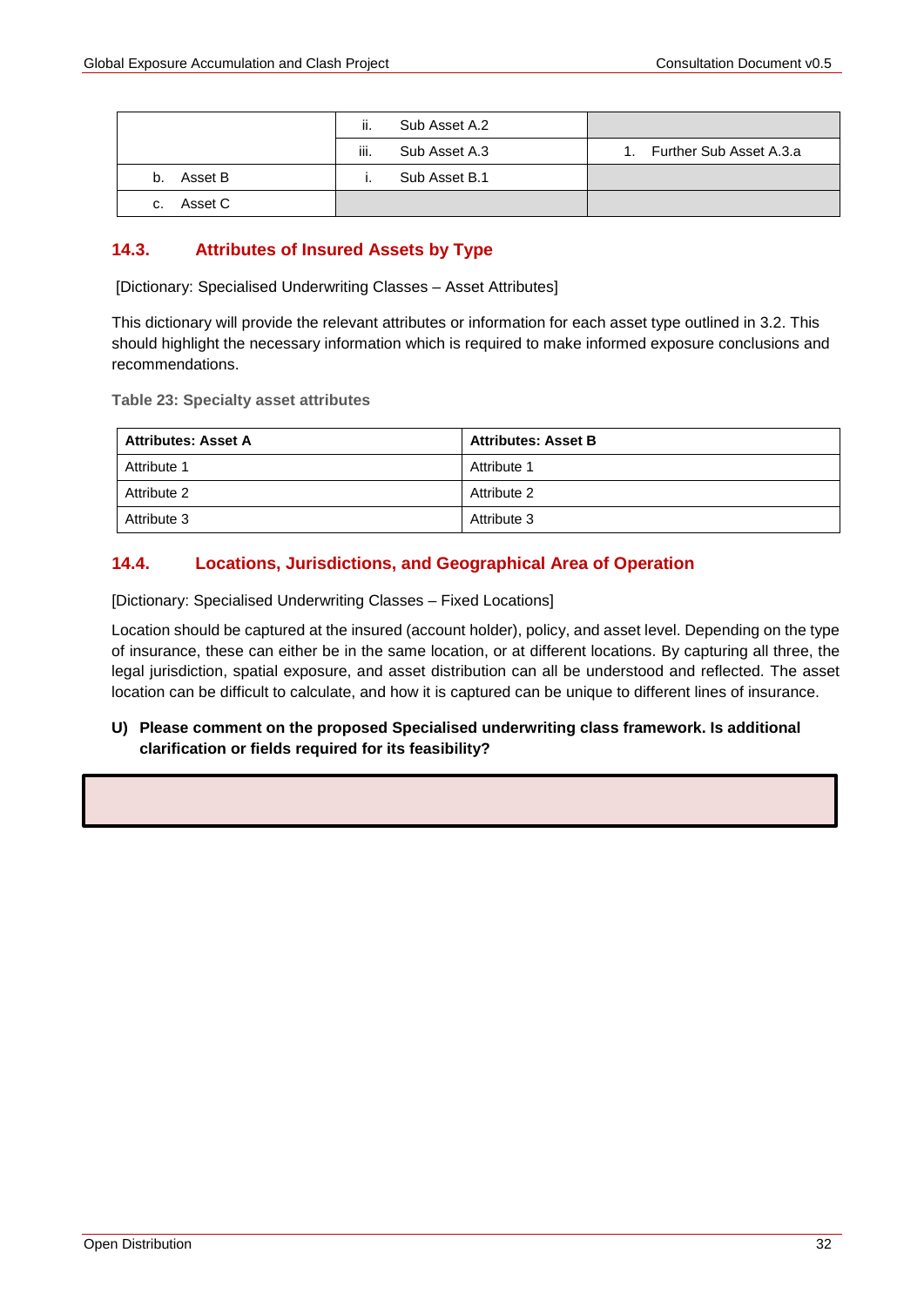|               | ii.<br>Sub Asset A.2  |                         |
|---------------|-----------------------|-------------------------|
|               | iii.<br>Sub Asset A.3 | Further Sub Asset A.3.a |
| Asset B<br>b. | Sub Asset B.1         |                         |
| Asset C<br>C. |                       |                         |

## **14.3. Attributes of Insured Assets by Type**

[Dictionary: Specialised Underwriting Classes – Asset Attributes]

This dictionary will provide the relevant attributes or information for each asset type outlined in 3.2. This should highlight the necessary information which is required to make informed exposure conclusions and recommendations.

**Table 23: Specialty asset attributes**

| <b>Attributes: Asset A</b> | <b>Attributes: Asset B</b> |
|----------------------------|----------------------------|
| Attribute 1                | Attribute 1                |
| Attribute 2                | Attribute 2                |
| Attribute 3                | Attribute 3                |

## **14.4. Locations, Jurisdictions, and Geographical Area of Operation**

[Dictionary: Specialised Underwriting Classes – Fixed Locations]

Location should be captured at the insured (account holder), policy, and asset level. Depending on the type of insurance, these can either be in the same location, or at different locations. By capturing all three, the legal jurisdiction, spatial exposure, and asset distribution can all be understood and reflected. The asset location can be difficult to calculate, and how it is captured can be unique to different lines of insurance.

## **U) Please comment on the proposed Specialised underwriting class framework. Is additional clarification or fields required for its feasibility?**